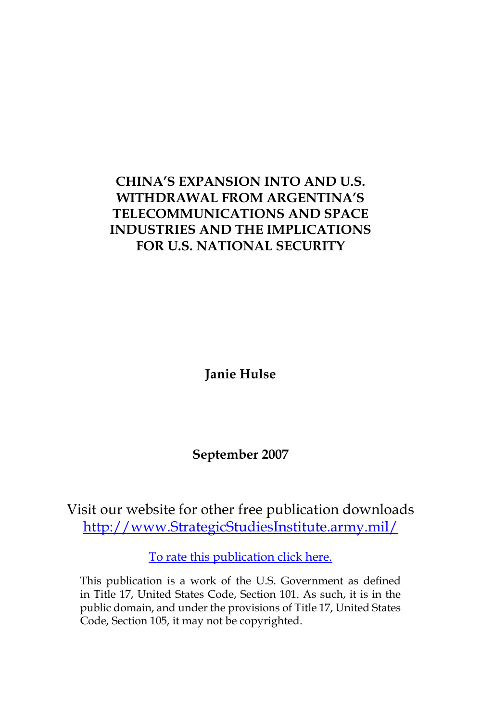# **CHINA'S EXPANSION INTO AND U.S. WITHDRAWAL FROM ARGENTINA'S TELECOMMUNICATIONS AND SPACE INDUSTRIES AND THE IMPLICATIONS FOR U.S. NATIONAL SECURITY**

**Janie Hulse**

**September 2007**

Visit our website for other free publication downloads [http://www.StrategicStudiesInstitute.army.mil/](http://www.StrategicStudiesInstitute.army.mil)

[To rate this publication click here.](http://www.strategicstudiesinstitute.army.mil/pubs/display.cfm?pubID=806)

This publication is a work of the U.S. Government as defined in Title 17, United States Code, Section 101. As such, it is in the public domain, and under the provisions of Title 17, United States Code, Section 105, it may not be copyrighted.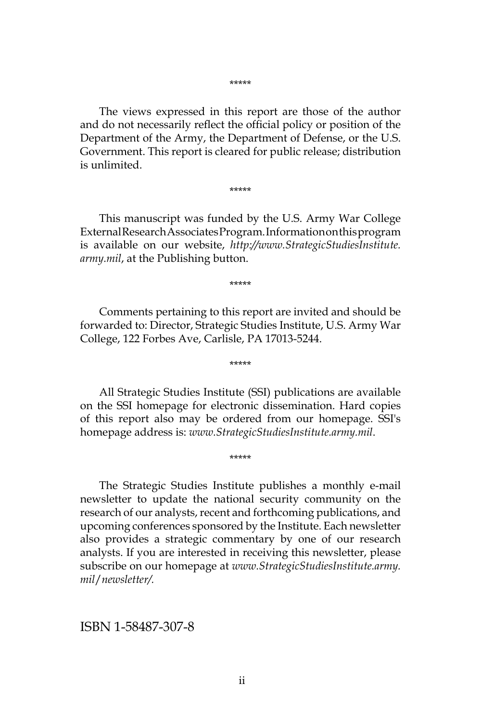\*\*\*\*\*

The views expressed in this report are those of the author and do not necessarily reflect the official policy or position of the Department of the Army, the Department of Defense, or the U.S. Government. This report is cleared for public release; distribution is unlimited.

\*\*\*\*\*

This manuscript was funded by the U.S. Army War College External Research Associates Program. Information on this program is available on our website, *http://www.StrategicStudiesInstitute. army.mil*, at the Publishing button.

\*\*\*\*\*

Comments pertaining to this report are invited and should be forwarded to: Director, Strategic Studies Institute, U.S. Army War College, 122 Forbes Ave, Carlisle, PA 17013-5244.

\*\*\*\*\*

All Strategic Studies Institute (SSI) publications are available on the SSI homepage for electronic dissemination. Hard copies of this report also may be ordered from our homepage. SSI's homepage address is: *www.StrategicStudiesInstitute.army.mil*.

\*\*\*\*\*

The Strategic Studies Institute publishes a monthly e-mail newsletter to update the national security community on the research of our analysts, recent and forthcoming publications, and upcoming conferences sponsored by the Institute. Each newsletter also provides a strategic commentary by one of our research analysts. If you are interested in receiving this newsletter, please subscribe on our homepage at *www.StrategicStudiesInstitute.army. mil*/*newsletter/.*

ISBN 1-58487-307-8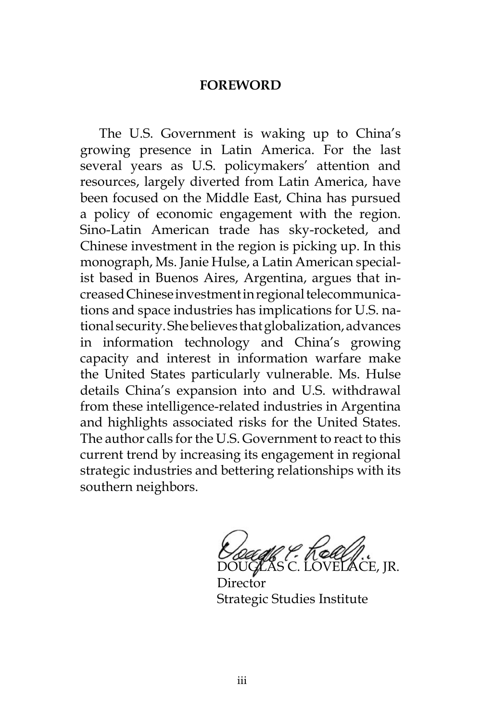#### **FOREWORD**

The U.S. Government is waking up to China's growing presence in Latin America. For the last several years as U.S. policymakers' attention and resources, largely diverted from Latin America, have been focused on the Middle East, China has pursued a policy of economic engagement with the region. Sino-Latin American trade has sky-rocketed, and Chinese investment in the region is picking up. In this monograph, Ms. Janie Hulse, a Latin American specialist based in Buenos Aires, Argentina, argues that increased Chinese investment in regional telecommunications and space industries has implications for U.S. national security. She believes that globalization, advances in information technology and China's growing capacity and interest in information warfare make the United States particularly vulnerable. Ms. Hulse details China's expansion into and U.S. withdrawal from these intelligence-related industries in Argentina and highlights associated risks for the United States. The author calls for the U.S. Government to react to this current trend by increasing its engagement in regional strategic industries and bettering relationships with its southern neighbors.

*Dougla P. Koll J.*<br>DOUGLAS C. LOVELACE, JR.

Director Strategic Studies Institute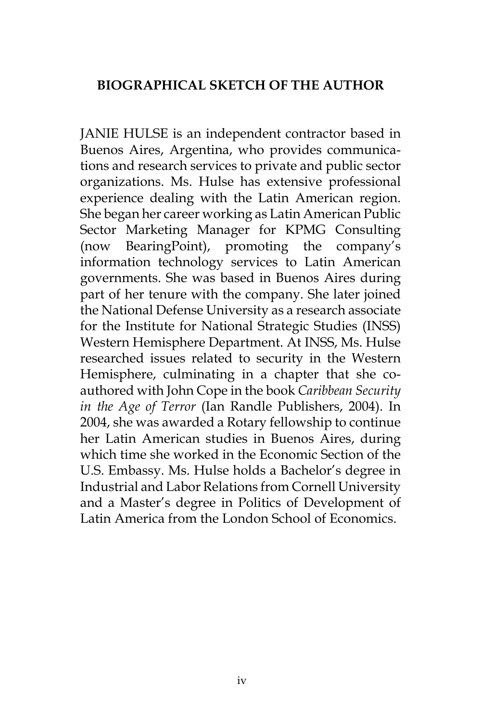### **BIOGRAPHICAL SKETCH OF THE AUTHOR**

JANIE HULSE is an independent contractor based in Buenos Aires, Argentina, who provides communications and research services to private and public sector organizations. Ms. Hulse has extensive professional experience dealing with the Latin American region. She began her career working as Latin American Public Sector Marketing Manager for KPMG Consulting (now BearingPoint), promoting the company's information technology services to Latin American governments. She was based in Buenos Aires during part of her tenure with the company. She later joined the National Defense University as a research associate for the Institute for National Strategic Studies (INSS) Western Hemisphere Department. At INSS, Ms. Hulse researched issues related to security in the Western Hemisphere, culminating in a chapter that she coauthored with John Cope in the book *Caribbean Security in the Age of Terror* (Ian Randle Publishers, 2004). In 2004, she was awarded a Rotary fellowship to continue her Latin American studies in Buenos Aires, during which time she worked in the Economic Section of the U.S. Embassy. Ms. Hulse holds a Bachelor's degree in Industrial and Labor Relations from Cornell University and a Master's degree in Politics of Development of Latin America from the London School of Economics.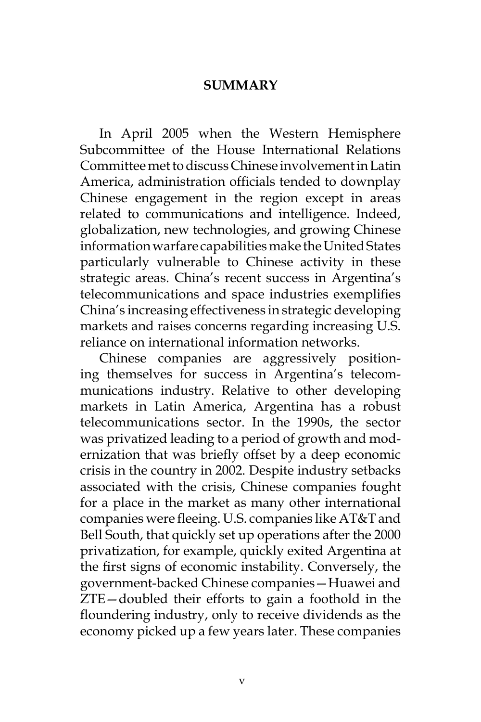#### **SUMMARY**

In April 2005 when the Western Hemisphere Subcommittee of the House International Relations Committee met to discuss Chinese involvement in Latin America, administration officials tended to downplay Chinese engagement in the region except in areas related to communications and intelligence. Indeed, globalization, new technologies, and growing Chinese information warfare capabilities make the United States particularly vulnerable to Chinese activity in these strategic areas. China's recent success in Argentina's telecommunications and space industries exemplifies China's increasing effectiveness in strategic developing markets and raises concerns regarding increasing U.S. reliance on international information networks.

Chinese companies are aggressively positioning themselves for success in Argentina's telecommunications industry. Relative to other developing markets in Latin America, Argentina has a robust telecommunications sector. In the 1990s, the sector was privatized leading to a period of growth and modernization that was briefly offset by a deep economic crisis in the country in 2002. Despite industry setbacks associated with the crisis, Chinese companies fought for a place in the market as many other international companies were fleeing. U.S. companies like AT&T and Bell South, that quickly set up operations after the 2000 privatization, for example, quickly exited Argentina at the first signs of economic instability. Conversely, the government-backed Chinese companies—Huawei and ZTE—doubled their efforts to gain a foothold in the floundering industry, only to receive dividends as the economy picked up a few years later. These companies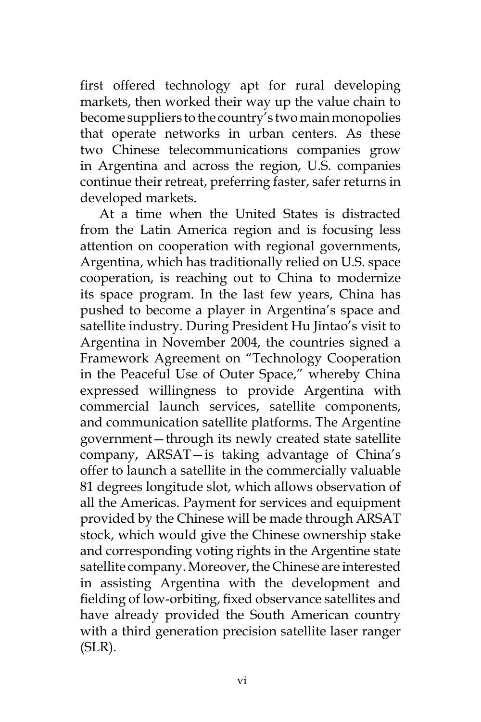first offered technology apt for rural developing markets, then worked their way up the value chain to become suppliers to the country's two main monopolies that operate networks in urban centers. As these two Chinese telecommunications companies grow in Argentina and across the region, U.S. companies continue their retreat, preferring faster, safer returns in developed markets.

At a time when the United States is distracted from the Latin America region and is focusing less attention on cooperation with regional governments, Argentina, which has traditionally relied on U.S. space cooperation, is reaching out to China to modernize its space program. In the last few years, China has pushed to become a player in Argentina's space and satellite industry. During President Hu Jintao's visit to Argentina in November 2004, the countries signed a Framework Agreement on "Technology Cooperation in the Peaceful Use of Outer Space," whereby China expressed willingness to provide Argentina with commercial launch services, satellite components, and communication satellite platforms. The Argentine government—through its newly created state satellite company, ARSAT—is taking advantage of China's offer to launch a satellite in the commercially valuable 81 degrees longitude slot, which allows observation of all the Americas. Payment for services and equipment provided by the Chinese will be made through ARSAT stock, which would give the Chinese ownership stake and corresponding voting rights in the Argentine state satellite company. Moreover, the Chinese are interested in assisting Argentina with the development and fielding of low-orbiting, fixed observance satellites and have already provided the South American country with a third generation precision satellite laser ranger (SLR).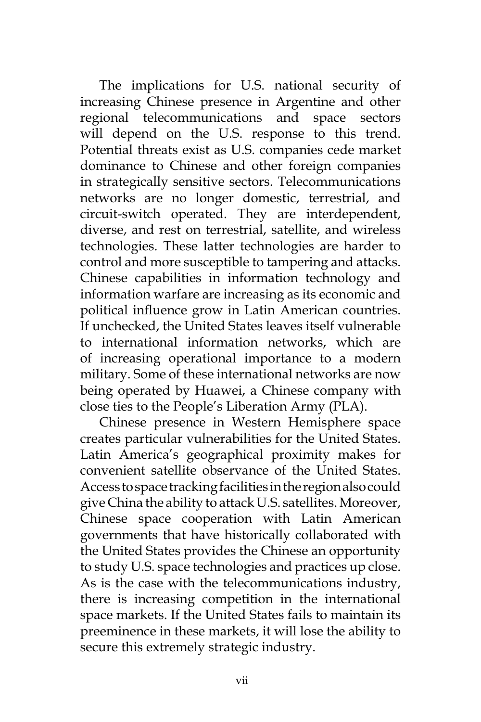The implications for U.S. national security of increasing Chinese presence in Argentine and other regional telecommunications and space sectors will depend on the U.S. response to this trend. Potential threats exist as U.S. companies cede market dominance to Chinese and other foreign companies in strategically sensitive sectors. Telecommunications networks are no longer domestic, terrestrial, and circuit-switch operated. They are interdependent, diverse, and rest on terrestrial, satellite, and wireless technologies. These latter technologies are harder to control and more susceptible to tampering and attacks. Chinese capabilities in information technology and information warfare are increasing as its economic and political influence grow in Latin American countries. If unchecked, the United States leaves itself vulnerable to international information networks, which are of increasing operational importance to a modern military. Some of these international networks are now being operated by Huawei, a Chinese company with close ties to the People's Liberation Army (PLA).

Chinese presence in Western Hemisphere space creates particular vulnerabilities for the United States. Latin America's geographical proximity makes for convenient satellite observance of the United States. Access to space tracking facilities in the region also could give China the ability to attack U.S. satellites. Moreover, Chinese space cooperation with Latin American governments that have historically collaborated with the United States provides the Chinese an opportunity to study U.S. space technologies and practices up close. As is the case with the telecommunications industry, there is increasing competition in the international space markets. If the United States fails to maintain its preeminence in these markets, it will lose the ability to secure this extremely strategic industry.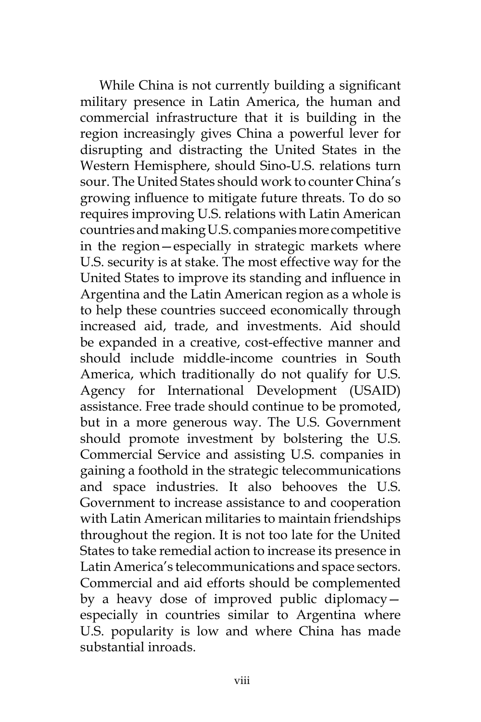While China is not currently building a significant military presence in Latin America, the human and commercial infrastructure that it is building in the region increasingly gives China a powerful lever for disrupting and distracting the United States in the Western Hemisphere, should Sino-U.S. relations turn sour. The United States should work to counter China's growing influence to mitigate future threats. To do so requires improving U.S. relations with Latin American countries and making U.S. companies more competitive in the region—especially in strategic markets where U.S. security is at stake. The most effective way for the United States to improve its standing and influence in Argentina and the Latin American region as a whole is to help these countries succeed economically through increased aid, trade, and investments. Aid should be expanded in a creative, cost-effective manner and should include middle-income countries in South America, which traditionally do not qualify for U.S. Agency for International Development (USAID) assistance. Free trade should continue to be promoted, but in a more generous way. The U.S. Government should promote investment by bolstering the U.S. Commercial Service and assisting U.S. companies in gaining a foothold in the strategic telecommunications and space industries. It also behooves the U.S. Government to increase assistance to and cooperation with Latin American militaries to maintain friendships throughout the region. It is not too late for the United States to take remedial action to increase its presence in Latin America's telecommunications and space sectors. Commercial and aid efforts should be complemented by a heavy dose of improved public diplomacy especially in countries similar to Argentina where U.S. popularity is low and where China has made substantial inroads.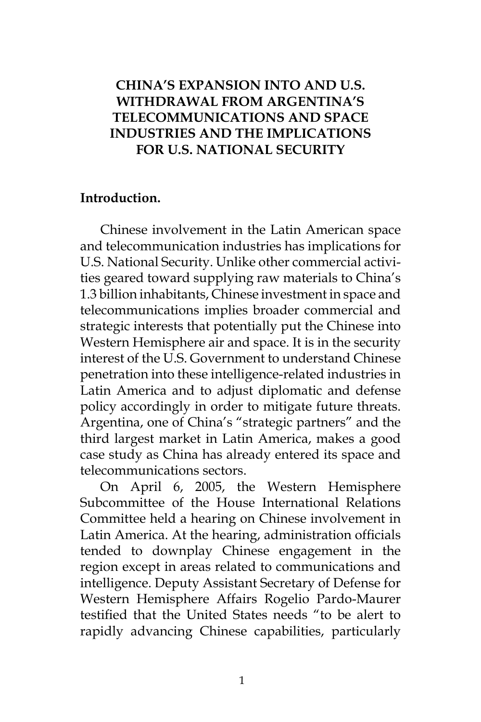### **CHINA'S EXPANSION INTO AND U.S. WITHDRAWAL FROM ARGENTINA'S TELECOMMUNICATIONS AND SPACE INDUSTRIES AND THE IMPLICATIONS FOR U.S. NATIONAL SECURITY**

#### **Introduction.**

Chinese involvement in the Latin American space and telecommunication industries has implications for U.S. National Security. Unlike other commercial activities geared toward supplying raw materials to China's 1.3 billion inhabitants, Chinese investment in space and telecommunications implies broader commercial and strategic interests that potentially put the Chinese into Western Hemisphere air and space. It is in the security interest of the U.S. Government to understand Chinese penetration into these intelligence-related industries in Latin America and to adjust diplomatic and defense policy accordingly in order to mitigate future threats. Argentina, one of China's "strategic partners" and the third largest market in Latin America, makes a good case study as China has already entered its space and telecommunications sectors.

On April 6, 2005, the Western Hemisphere Subcommittee of the House International Relations Committee held a hearing on Chinese involvement in Latin America. At the hearing, administration officials tended to downplay Chinese engagement in the region except in areas related to communications and intelligence. Deputy Assistant Secretary of Defense for Western Hemisphere Affairs Rogelio Pardo-Maurer testified that the United States needs "to be alert to rapidly advancing Chinese capabilities, particularly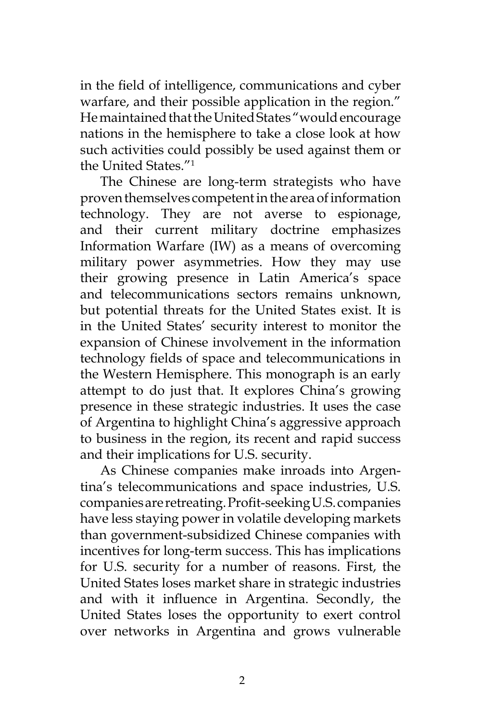in the field of intelligence, communications and cyber warfare, and their possible application in the region." He maintained that the United States "would encourage nations in the hemisphere to take a close look at how such activities could possibly be used against them or the United States."1

The Chinese are long-term strategists who have proven themselves competent in the area of information technology. They are not averse to espionage, and their current military doctrine emphasizes Information Warfare (IW) as a means of overcoming military power asymmetries. How they may use their growing presence in Latin America's space and telecommunications sectors remains unknown, but potential threats for the United States exist. It is in the United States' security interest to monitor the expansion of Chinese involvement in the information technology fields of space and telecommunications in the Western Hemisphere. This monograph is an early attempt to do just that. It explores China's growing presence in these strategic industries. It uses the case of Argentina to highlight China's aggressive approach to business in the region, its recent and rapid success and their implications for U.S. security.

As Chinese companies make inroads into Argentina's telecommunications and space industries, U.S. companies are retreating. Profit-seeking U.S. companies have less staying power in volatile developing markets than government-subsidized Chinese companies with incentives for long-term success. This has implications for U.S. security for a number of reasons. First, the United States loses market share in strategic industries and with it influence in Argentina. Secondly, the United States loses the opportunity to exert control over networks in Argentina and grows vulnerable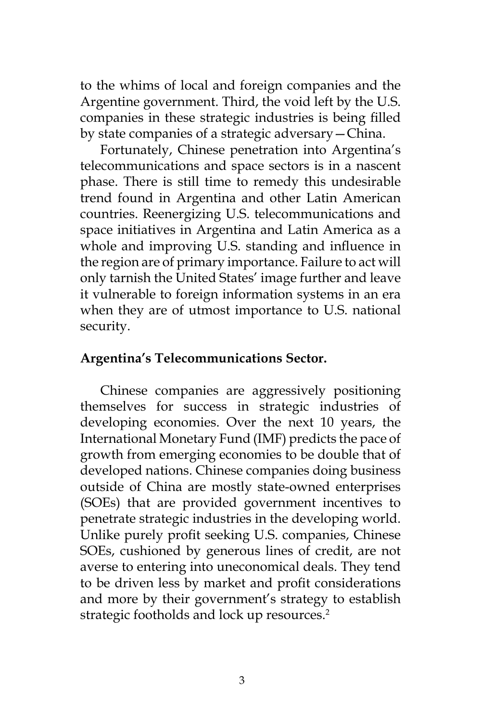to the whims of local and foreign companies and the Argentine government. Third, the void left by the U.S. companies in these strategic industries is being filled by state companies of a strategic adversary—China.

Fortunately, Chinese penetration into Argentina's telecommunications and space sectors is in a nascent phase. There is still time to remedy this undesirable trend found in Argentina and other Latin American countries. Reenergizing U.S. telecommunications and space initiatives in Argentina and Latin America as a whole and improving U.S. standing and influence in the region are of primary importance. Failure to act will only tarnish the United States' image further and leave it vulnerable to foreign information systems in an era when they are of utmost importance to U.S. national security.

### **Argentina's Telecommunications Sector.**

Chinese companies are aggressively positioning themselves for success in strategic industries of developing economies. Over the next 10 years, the International Monetary Fund (IMF) predicts the pace of growth from emerging economies to be double that of developed nations. Chinese companies doing business outside of China are mostly state-owned enterprises (SOEs) that are provided government incentives to penetrate strategic industries in the developing world. Unlike purely profit seeking U.S. companies, Chinese SOEs, cushioned by generous lines of credit, are not averse to entering into uneconomical deals. They tend to be driven less by market and profit considerations and more by their government's strategy to establish strategic footholds and lock up resources.<sup>2</sup>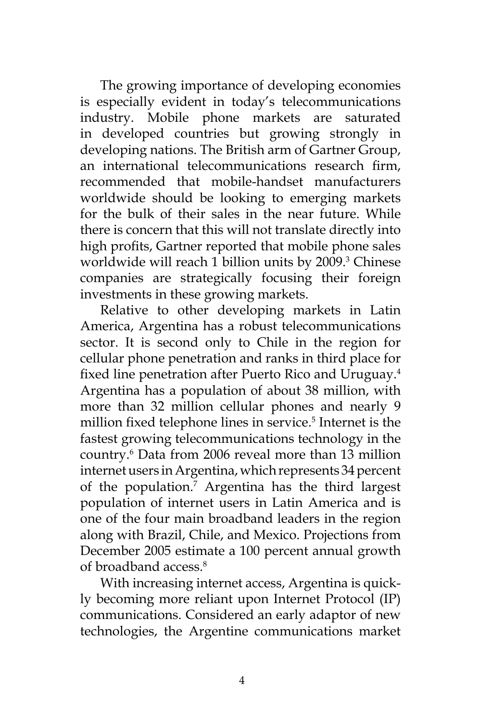The growing importance of developing economies is especially evident in today's telecommunications industry. Mobile phone markets are saturated in developed countries but growing strongly in developing nations. The British arm of Gartner Group, an international telecommunications research firm, recommended that mobile-handset manufacturers worldwide should be looking to emerging markets for the bulk of their sales in the near future. While there is concern that this will not translate directly into high profits, Gartner reported that mobile phone sales worldwide will reach 1 billion units by 2009.<sup>3</sup> Chinese companies are strategically focusing their foreign investments in these growing markets.

Relative to other developing markets in Latin America, Argentina has a robust telecommunications sector. It is second only to Chile in the region for cellular phone penetration and ranks in third place for fixed line penetration after Puerto Rico and Uruguay.<sup>4</sup> Argentina has a population of about 38 million, with more than 32 million cellular phones and nearly 9 million fixed telephone lines in service.<sup>5</sup> Internet is the fastest growing telecommunications technology in the country.6 Data from 2006 reveal more than 13 million internet users in Argentina, which represents 34 percent of the population.7 Argentina has the third largest population of internet users in Latin America and is one of the four main broadband leaders in the region along with Brazil, Chile, and Mexico. Projections from December 2005 estimate a 100 percent annual growth of broadband access.<sup>8</sup>

With increasing internet access, Argentina is quickly becoming more reliant upon Internet Protocol (IP) communications. Considered an early adaptor of new technologies, the Argentine communications market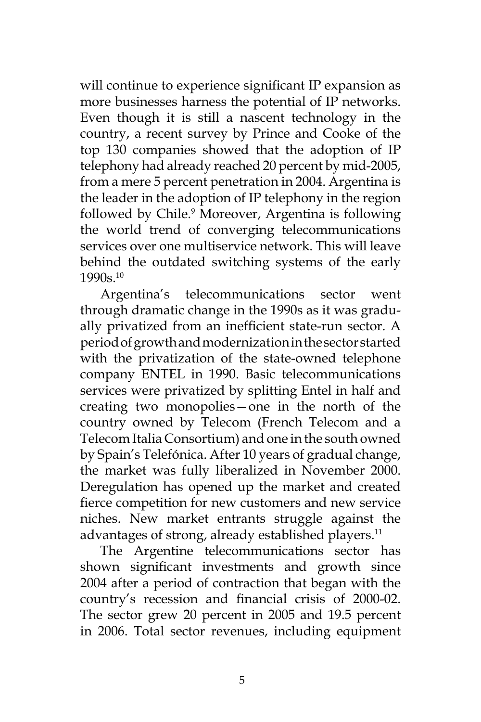will continue to experience significant IP expansion as more businesses harness the potential of IP networks. Even though it is still a nascent technology in the country, a recent survey by Prince and Cooke of the top 130 companies showed that the adoption of IP telephony had already reached 20 percent by mid-2005, from a mere 5 percent penetration in 2004. Argentina is the leader in the adoption of IP telephony in the region followed by Chile.<sup>9</sup> Moreover, Argentina is following the world trend of converging telecommunications services over one multiservice network. This will leave behind the outdated switching systems of the early 1990s.10

Argentina's telecommunications sector went through dramatic change in the 1990s as it was gradually privatized from an inefficient state-run sector. A period of growth and modernization in the sector started with the privatization of the state-owned telephone company ENTEL in 1990. Basic telecommunications services were privatized by splitting Entel in half and creating two monopolies—one in the north of the country owned by Telecom (French Telecom and a Telecom Italia Consortium) and one in the south owned by Spain's Telefónica. After 10 years of gradual change, the market was fully liberalized in November 2000. Deregulation has opened up the market and created fierce competition for new customers and new service niches. New market entrants struggle against the advantages of strong, already established players.<sup>11</sup>

The Argentine telecommunications sector has shown significant investments and growth since 2004 after a period of contraction that began with the country's recession and financial crisis of 2000-02. The sector grew 20 percent in 2005 and 19.5 percent in 2006. Total sector revenues, including equipment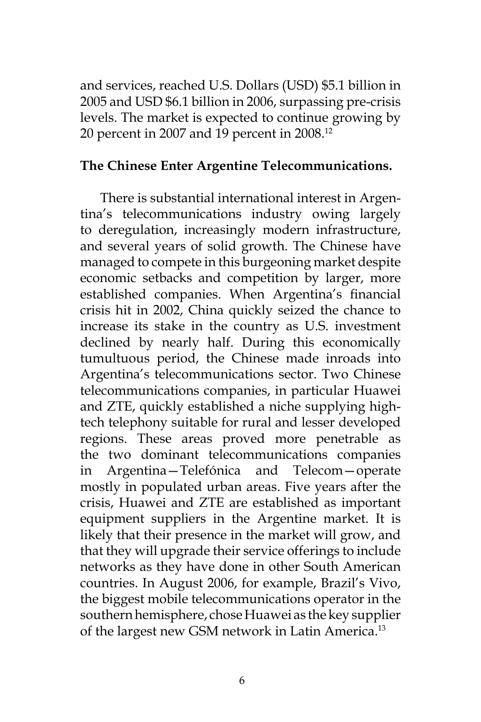and services, reached U.S. Dollars (USD) \$5.1 billion in 2005 and USD \$6.1 billion in 2006, surpassing pre-crisis levels. The market is expected to continue growing by 20 percent in 2007 and 19 percent in 2008.12

#### **The Chinese Enter Argentine Telecommunications.**

There is substantial international interest in Argentina's telecommunications industry owing largely to deregulation, increasingly modern infrastructure, and several years of solid growth. The Chinese have managed to compete in this burgeoning market despite economic setbacks and competition by larger, more established companies. When Argentina's financial crisis hit in 2002, China quickly seized the chance to increase its stake in the country as U.S. investment declined by nearly half. During this economically tumultuous period, the Chinese made inroads into Argentina's telecommunications sector. Two Chinese telecommunications companies, in particular Huawei and ZTE, quickly established a niche supplying hightech telephony suitable for rural and lesser developed regions. These areas proved more penetrable as the two dominant telecommunications companies in Argentina—Telefónica and Telecom—operate mostly in populated urban areas. Five years after the crisis, Huawei and ZTE are established as important equipment suppliers in the Argentine market. It is likely that their presence in the market will grow, and that they will upgrade their service offerings to include networks as they have done in other South American countries. In August 2006, for example, Brazil's Vivo, the biggest mobile telecommunications operator in the southern hemisphere, chose Huawei as the key supplier of the largest new GSM network in Latin America.<sup>13</sup>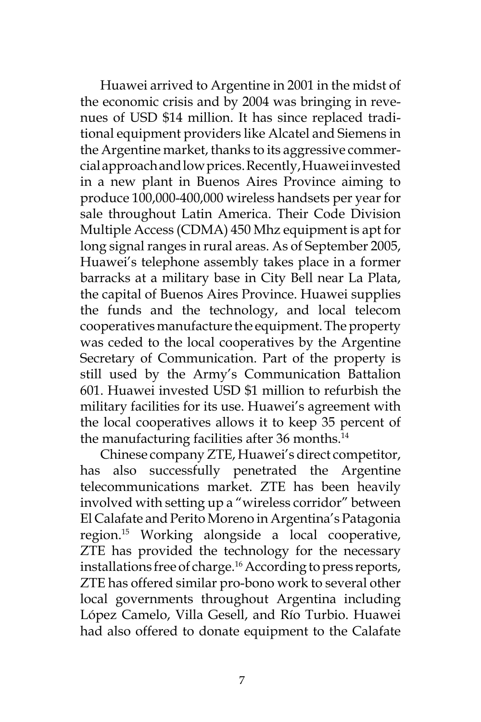Huawei arrived to Argentine in 2001 in the midst of the economic crisis and by 2004 was bringing in revenues of USD \$14 million. It has since replaced traditional equipment providers like Alcatel and Siemens in the Argentine market, thanks to its aggressive commercial approach and low prices. Recently, Huawei invested in a new plant in Buenos Aires Province aiming to produce 100,000-400,000 wireless handsets per year for sale throughout Latin America. Their Code Division Multiple Access (CDMA) 450 Mhz equipment is apt for long signal ranges in rural areas. As of September 2005, Huawei's telephone assembly takes place in a former barracks at a military base in City Bell near La Plata, the capital of Buenos Aires Province. Huawei supplies the funds and the technology, and local telecom cooperatives manufacture the equipment. The property was ceded to the local cooperatives by the Argentine Secretary of Communication. Part of the property is still used by the Army's Communication Battalion 601. Huawei invested USD \$1 million to refurbish the military facilities for its use. Huawei's agreement with the local cooperatives allows it to keep 35 percent of the manufacturing facilities after 36 months.<sup>14</sup>

Chinese company ZTE, Huawei's direct competitor, has also successfully penetrated the Argentine telecommunications market. ZTE has been heavily involved with setting up a "wireless corridor" between El Calafate and Perito Moreno in Argentina's Patagonia region.15 Working alongside a local cooperative, ZTE has provided the technology for the necessary installations free of charge.16 According to press reports, ZTE has offered similar pro-bono work to several other local governments throughout Argentina including López Camelo, Villa Gesell, and Río Turbio. Huawei had also offered to donate equipment to the Calafate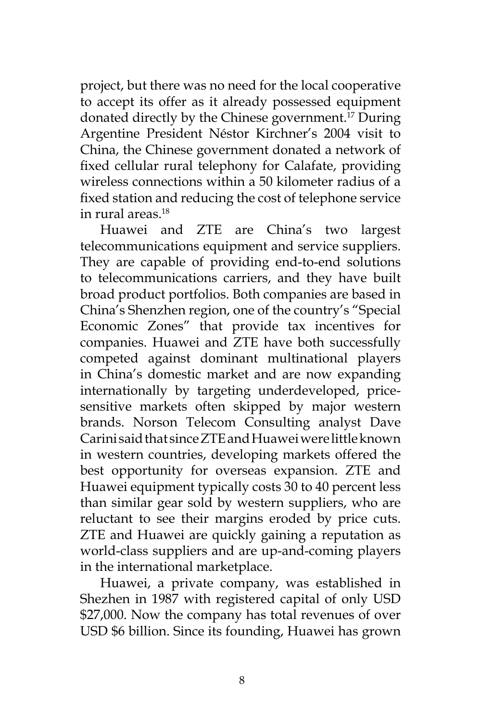project, but there was no need for the local cooperative to accept its offer as it already possessed equipment donated directly by the Chinese government.17 During Argentine President Néstor Kirchner's 2004 visit to China, the Chinese government donated a network of fixed cellular rural telephony for Calafate, providing wireless connections within a 50 kilometer radius of a fixed station and reducing the cost of telephone service in rural areas.18

Huawei and ZTE are China's two largest telecommunications equipment and service suppliers. They are capable of providing end-to-end solutions to telecommunications carriers, and they have built broad product portfolios. Both companies are based in China's Shenzhen region, one of the country's "Special Economic Zones" that provide tax incentives for companies. Huawei and ZTE have both successfully competed against dominant multinational players in China's domestic market and are now expanding internationally by targeting underdeveloped, pricesensitive markets often skipped by major western brands. Norson Telecom Consulting analyst Dave Carini said that since ZTE and Huawei were little known in western countries, developing markets offered the best opportunity for overseas expansion. ZTE and Huawei equipment typically costs 30 to 40 percent less than similar gear sold by western suppliers, who are reluctant to see their margins eroded by price cuts. ZTE and Huawei are quickly gaining a reputation as world-class suppliers and are up-and-coming players in the international marketplace.

Huawei, a private company, was established in Shezhen in 1987 with registered capital of only USD \$27,000. Now the company has total revenues of over USD \$6 billion. Since its founding, Huawei has grown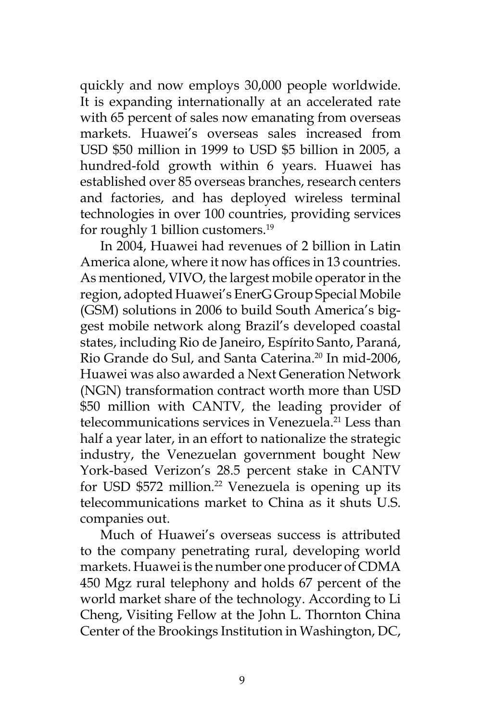quickly and now employs 30,000 people worldwide. It is expanding internationally at an accelerated rate with 65 percent of sales now emanating from overseas markets. Huawei's overseas sales increased from USD \$50 million in 1999 to USD \$5 billion in 2005, a hundred-fold growth within 6 years. Huawei has established over 85 overseas branches, research centers and factories, and has deployed wireless terminal technologies in over 100 countries, providing services for roughly 1 billion customers.<sup>19</sup>

In 2004, Huawei had revenues of 2 billion in Latin America alone, where it now has offices in 13 countries. As mentioned, VIVO, the largest mobile operator in the region, adopted Huawei's EnerG Group Special Mobile (GSM) solutions in 2006 to build South America's biggest mobile network along Brazil's developed coastal states, including Rio de Janeiro, Espírito Santo, Paraná, Rio Grande do Sul, and Santa Caterina.<sup>20</sup> In mid-2006, Huawei was also awarded a Next Generation Network (NGN) transformation contract worth more than USD \$50 million with CANTV, the leading provider of telecommunications services in Venezuela.<sup>21</sup> Less than half a year later, in an effort to nationalize the strategic industry, the Venezuelan government bought New York-based Verizon's 28.5 percent stake in CANTV for USD \$572 million.<sup>22</sup> Venezuela is opening up its telecommunications market to China as it shuts U.S. companies out.

Much of Huawei's overseas success is attributed to the company penetrating rural, developing world markets. Huawei is the number one producer of CDMA 450 Mgz rural telephony and holds 67 percent of the world market share of the technology. According to Li Cheng, Visiting Fellow at the John L. Thornton China Center of the Brookings Institution in Washington, DC,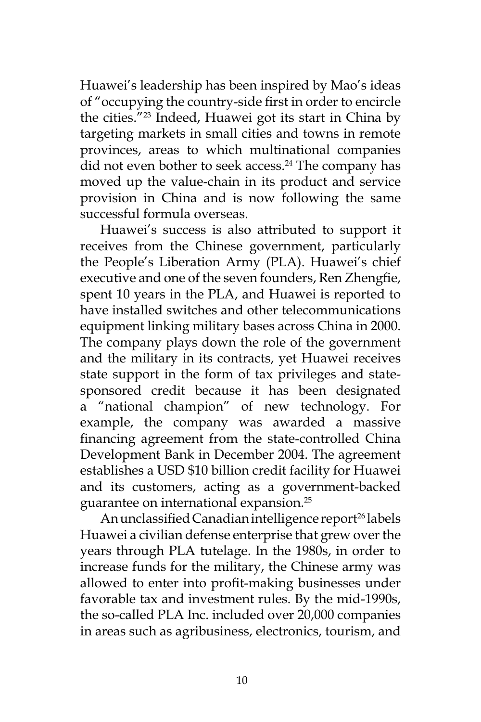Huawei's leadership has been inspired by Mao's ideas of "occupying the country-side first in order to encircle the cities."23 Indeed, Huawei got its start in China by targeting markets in small cities and towns in remote provinces, areas to which multinational companies did not even bother to seek access.<sup>24</sup> The company has moved up the value-chain in its product and service provision in China and is now following the same successful formula overseas.

Huawei's success is also attributed to support it receives from the Chinese government, particularly the People's Liberation Army (PLA). Huawei's chief executive and one of the seven founders, Ren Zhengfie, spent 10 years in the PLA, and Huawei is reported to have installed switches and other telecommunications equipment linking military bases across China in 2000. The company plays down the role of the government and the military in its contracts, yet Huawei receives state support in the form of tax privileges and statesponsored credit because it has been designated a "national champion" of new technology. For example, the company was awarded a massive financing agreement from the state-controlled China Development Bank in December 2004. The agreement establishes a USD \$10 billion credit facility for Huawei and its customers, acting as a government-backed guarantee on international expansion.25

An unclassified Canadian intelligence report<sup>26</sup> labels Huawei a civilian defense enterprise that grew over the years through PLA tutelage. In the 1980s, in order to increase funds for the military, the Chinese army was allowed to enter into profit-making businesses under favorable tax and investment rules. By the mid-1990s, the so-called PLA Inc. included over 20,000 companies in areas such as agribusiness, electronics, tourism, and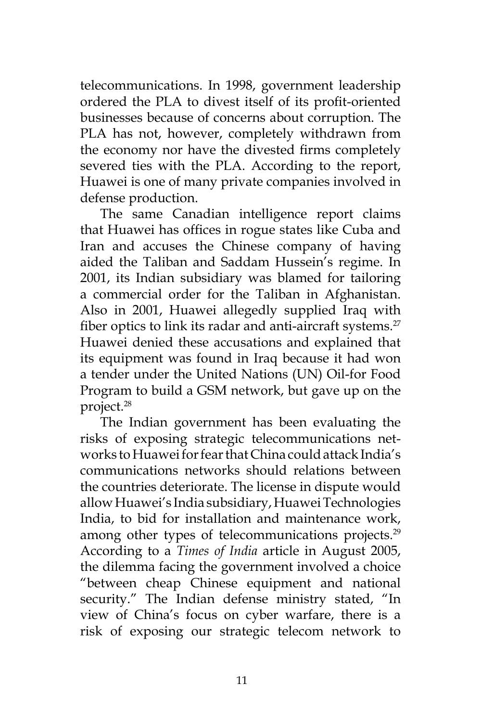telecommunications. In 1998, government leadership ordered the PLA to divest itself of its profit-oriented businesses because of concerns about corruption. The PLA has not, however, completely withdrawn from the economy nor have the divested firms completely severed ties with the PLA. According to the report, Huawei is one of many private companies involved in defense production.

The same Canadian intelligence report claims that Huawei has offices in rogue states like Cuba and Iran and accuses the Chinese company of having aided the Taliban and Saddam Hussein's regime. In 2001, its Indian subsidiary was blamed for tailoring a commercial order for the Taliban in Afghanistan. Also in 2001, Huawei allegedly supplied Iraq with fiber optics to link its radar and anti-aircraft systems.<sup>27</sup> Huawei denied these accusations and explained that its equipment was found in Iraq because it had won a tender under the United Nations (UN) Oil-for Food Program to build a GSM network, but gave up on the project.28

The Indian government has been evaluating the risks of exposing strategic telecommunications networks to Huawei for fear that China could attack India's communications networks should relations between the countries deteriorate. The license in dispute would allow Huawei's India subsidiary, Huawei Technologies India, to bid for installation and maintenance work, among other types of telecommunications projects.<sup>29</sup> According to a *Times of India* article in August 2005, the dilemma facing the government involved a choice "between cheap Chinese equipment and national security." The Indian defense ministry stated, "In view of China's focus on cyber warfare, there is a risk of exposing our strategic telecom network to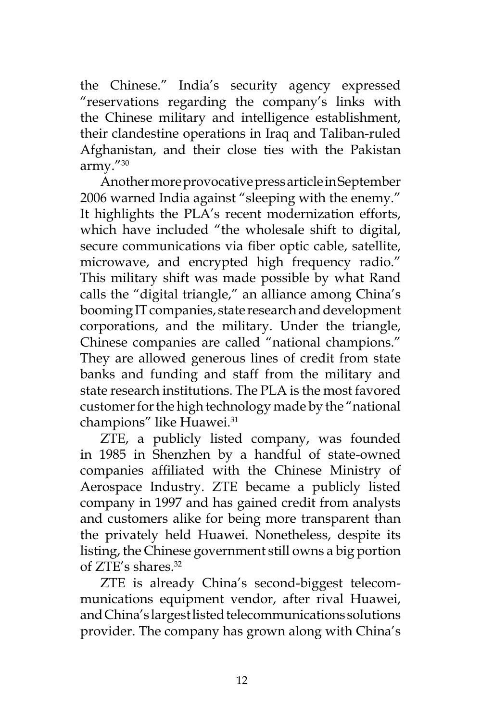the Chinese." India's security agency expressed "reservations regarding the company's links with the Chinese military and intelligence establishment, their clandestine operations in Iraq and Taliban-ruled Afghanistan, and their close ties with the Pakistan army."30

Another more provocative press article in September 2006 warned India against "sleeping with the enemy." It highlights the PLA's recent modernization efforts, which have included "the wholesale shift to digital, secure communications via fiber optic cable, satellite, microwave, and encrypted high frequency radio." This military shift was made possible by what Rand calls the "digital triangle," an alliance among China's booming IT companies, state research and development corporations, and the military. Under the triangle, Chinese companies are called "national champions." They are allowed generous lines of credit from state banks and funding and staff from the military and state research institutions. The PLA is the most favored customer for the high technology made by the "national champions" like Huawei.<sup>31</sup>

ZTE, a publicly listed company, was founded in 1985 in Shenzhen by a handful of state-owned companies affiliated with the Chinese Ministry of Aerospace Industry. ZTE became a publicly listed company in 1997 and has gained credit from analysts and customers alike for being more transparent than the privately held Huawei. Nonetheless, despite its listing, the Chinese government still owns a big portion of ZTE's shares.<sup>32</sup>

ZTE is already China's second-biggest telecommunications equipment vendor, after rival Huawei, and China's largest listed telecommunications solutions provider. The company has grown along with China's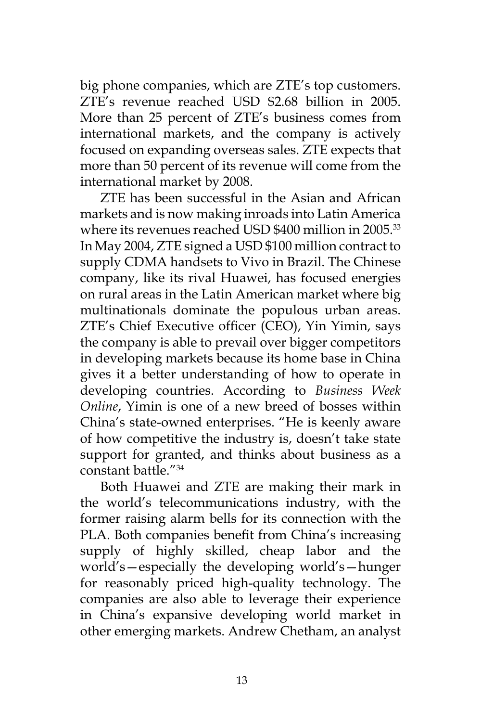big phone companies, which are ZTE's top customers. ZTE's revenue reached USD \$2.68 billion in 2005. More than 25 percent of ZTE's business comes from international markets, and the company is actively focused on expanding overseas sales. ZTE expects that more than 50 percent of its revenue will come from the international market by 2008.

ZTE has been successful in the Asian and African markets and is now making inroads into Latin America where its revenues reached USD \$400 million in 2005.<sup>33</sup> In May 2004, ZTE signed a USD \$100 million contract to supply CDMA handsets to Vivo in Brazil. The Chinese company, like its rival Huawei, has focused energies on rural areas in the Latin American market where big multinationals dominate the populous urban areas. ZTE's Chief Executive officer (CEO), Yin Yimin, says the company is able to prevail over bigger competitors in developing markets because its home base in China gives it a better understanding of how to operate in developing countries. According to *Business Week Online*, Yimin is one of a new breed of bosses within China's state-owned enterprises. "He is keenly aware of how competitive the industry is, doesn't take state support for granted, and thinks about business as a constant battle."34

Both Huawei and ZTE are making their mark in the world's telecommunications industry, with the former raising alarm bells for its connection with the PLA. Both companies benefit from China's increasing supply of highly skilled, cheap labor and the world's—especially the developing world's—hunger for reasonably priced high-quality technology. The companies are also able to leverage their experience in China's expansive developing world market in other emerging markets. Andrew Chetham, an analyst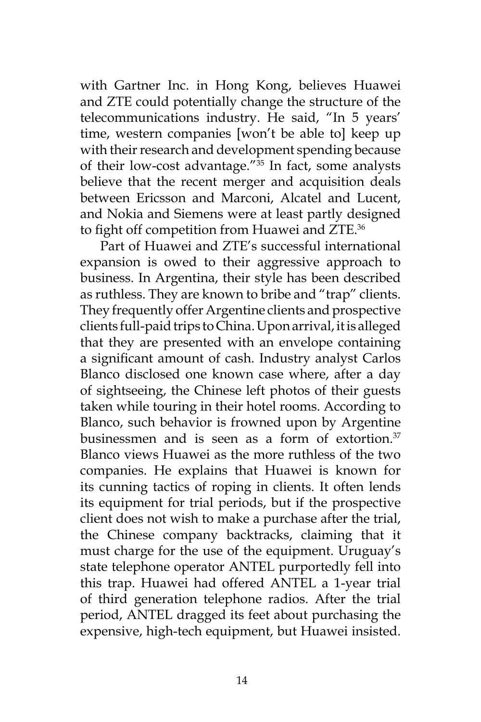with Gartner Inc. in Hong Kong, believes Huawei and ZTE could potentially change the structure of the telecommunications industry. He said, "In 5 years' time, western companies [won't be able to] keep up with their research and development spending because of their low-cost advantage."35 In fact, some analysts believe that the recent merger and acquisition deals between Ericsson and Marconi, Alcatel and Lucent, and Nokia and Siemens were at least partly designed to fight off competition from Huawei and ZTE.<sup>36</sup>

Part of Huawei and ZTE's successful international expansion is owed to their aggressive approach to business. In Argentina, their style has been described as ruthless. They are known to bribe and "trap" clients. They frequently offer Argentine clients and prospective clients full-paid trips to China. Upon arrival, it is alleged that they are presented with an envelope containing a significant amount of cash. Industry analyst Carlos Blanco disclosed one known case where, after a day of sightseeing, the Chinese left photos of their guests taken while touring in their hotel rooms. According to Blanco, such behavior is frowned upon by Argentine businessmen and is seen as a form of extortion. $37$ Blanco views Huawei as the more ruthless of the two companies. He explains that Huawei is known for its cunning tactics of roping in clients. It often lends its equipment for trial periods, but if the prospective client does not wish to make a purchase after the trial, the Chinese company backtracks, claiming that it must charge for the use of the equipment. Uruguay's state telephone operator ANTEL purportedly fell into this trap. Huawei had offered ANTEL a 1-year trial of third generation telephone radios. After the trial period, ANTEL dragged its feet about purchasing the expensive, high-tech equipment, but Huawei insisted.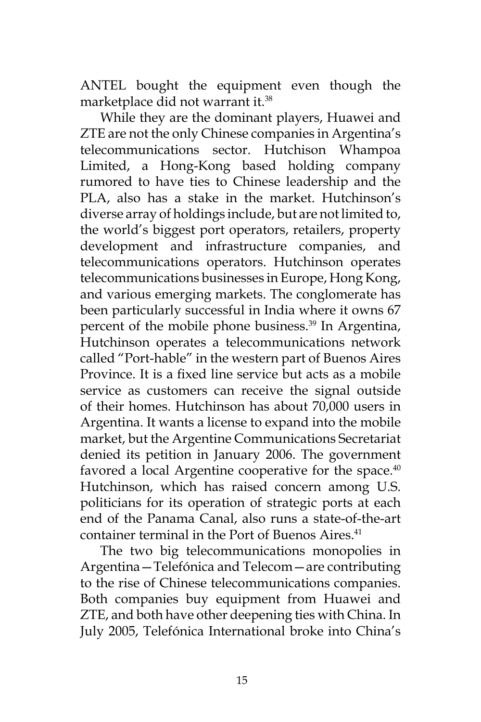ANTEL bought the equipment even though the marketplace did not warrant it.<sup>38</sup>

While they are the dominant players, Huawei and ZTE are not the only Chinese companies in Argentina's telecommunications sector. Hutchison Whampoa Limited, a Hong-Kong based holding company rumored to have ties to Chinese leadership and the PLA, also has a stake in the market. Hutchinson's diverse array of holdings include, but are not limited to, the world's biggest port operators, retailers, property development and infrastructure companies, and telecommunications operators. Hutchinson operates telecommunications businesses in Europe, Hong Kong, and various emerging markets. The conglomerate has been particularly successful in India where it owns 67 percent of the mobile phone business.<sup>39</sup> In Argentina, Hutchinson operates a telecommunications network called "Port-hable" in the western part of Buenos Aires Province. It is a fixed line service but acts as a mobile service as customers can receive the signal outside of their homes. Hutchinson has about 70,000 users in Argentina. It wants a license to expand into the mobile market, but the Argentine Communications Secretariat denied its petition in January 2006. The government favored a local Argentine cooperative for the space. $40$ Hutchinson, which has raised concern among U.S. politicians for its operation of strategic ports at each end of the Panama Canal, also runs a state-of-the-art container terminal in the Port of Buenos Aires.<sup>41</sup>

The two big telecommunications monopolies in Argentina—Telefónica and Telecom—are contributing to the rise of Chinese telecommunications companies. Both companies buy equipment from Huawei and ZTE, and both have other deepening ties with China. In July 2005, Telefónica International broke into China's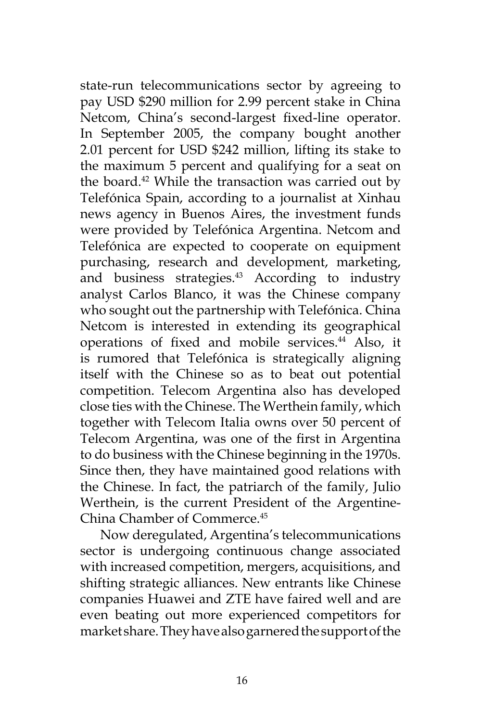state-run telecommunications sector by agreeing to pay USD \$290 million for 2.99 percent stake in China Netcom, China's second-largest fixed-line operator. In September 2005, the company bought another 2.01 percent for USD \$242 million, lifting its stake to the maximum 5 percent and qualifying for a seat on the board.<sup>42</sup> While the transaction was carried out by Telefónica Spain, according to a journalist at Xinhau news agency in Buenos Aires, the investment funds were provided by Telefónica Argentina. Netcom and Telefónica are expected to cooperate on equipment purchasing, research and development, marketing, and business strategies.<sup>43</sup> According to industry analyst Carlos Blanco, it was the Chinese company who sought out the partnership with Telefónica. China Netcom is interested in extending its geographical operations of fixed and mobile services.<sup>44</sup> Also, it is rumored that Telefónica is strategically aligning itself with the Chinese so as to beat out potential competition. Telecom Argentina also has developed close ties with the Chinese. The Werthein family, which together with Telecom Italia owns over 50 percent of Telecom Argentina, was one of the first in Argentina to do business with the Chinese beginning in the 1970s. Since then, they have maintained good relations with the Chinese. In fact, the patriarch of the family, Julio Werthein, is the current President of the Argentine-China Chamber of Commerce.45

Now deregulated, Argentina's telecommunications sector is undergoing continuous change associated with increased competition, mergers, acquisitions, and shifting strategic alliances. New entrants like Chinese companies Huawei and ZTE have faired well and are even beating out more experienced competitors for market share. They have also garnered the support of the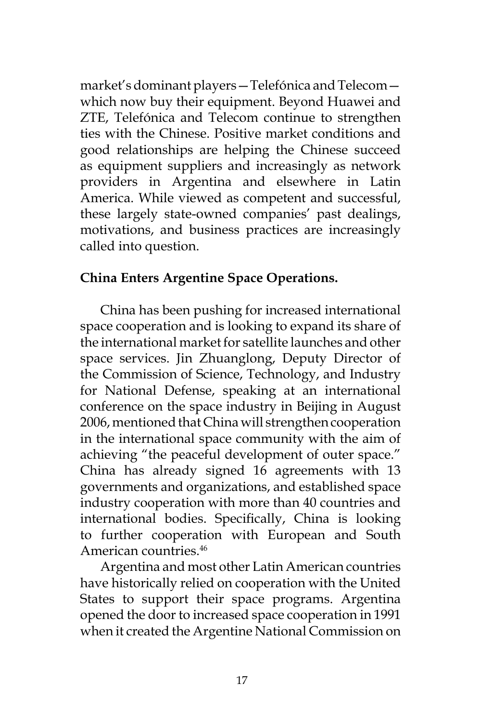market's dominant players—Telefónica and Telecom which now buy their equipment. Beyond Huawei and ZTE, Telefónica and Telecom continue to strengthen ties with the Chinese. Positive market conditions and good relationships are helping the Chinese succeed as equipment suppliers and increasingly as network providers in Argentina and elsewhere in Latin America. While viewed as competent and successful, these largely state-owned companies' past dealings, motivations, and business practices are increasingly called into question.

# **China Enters Argentine Space Operations.**

China has been pushing for increased international space cooperation and is looking to expand its share of the international market for satellite launches and other space services. Jin Zhuanglong, Deputy Director of the Commission of Science, Technology, and Industry for National Defense, speaking at an international conference on the space industry in Beijing in August 2006, mentioned that China will strengthen cooperation in the international space community with the aim of achieving "the peaceful development of outer space." China has already signed 16 agreements with 13 governments and organizations, and established space industry cooperation with more than 40 countries and international bodies. Specifically, China is looking to further cooperation with European and South American countries.<sup>46</sup>

Argentina and most other Latin American countries have historically relied on cooperation with the United States to support their space programs. Argentina opened the door to increased space cooperation in 1991 when it created the Argentine National Commission on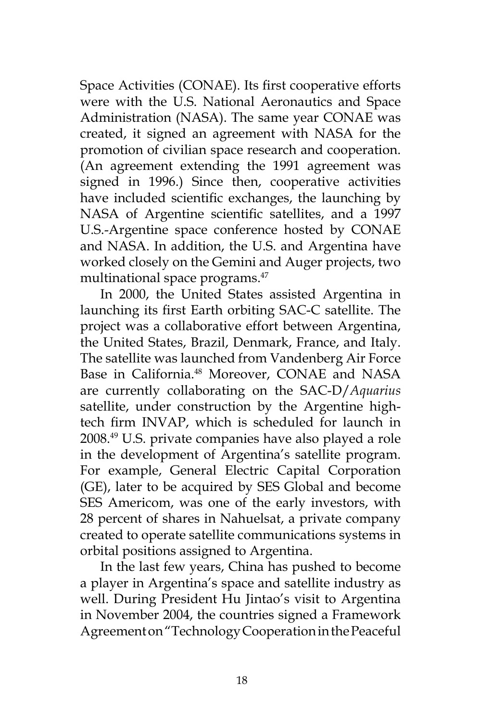Space Activities (CONAE). Its first cooperative efforts were with the U.S. National Aeronautics and Space Administration (NASA). The same year CONAE was created, it signed an agreement with NASA for the promotion of civilian space research and cooperation. (An agreement extending the 1991 agreement was signed in 1996.) Since then, cooperative activities have included scientific exchanges, the launching by NASA of Argentine scientific satellites, and a 1997 U.S.-Argentine space conference hosted by CONAE and NASA. In addition, the U.S. and Argentina have worked closely on the Gemini and Auger projects, two multinational space programs.<sup>47</sup>

In 2000, the United States assisted Argentina in launching its first Earth orbiting SAC-C satellite. The project was a collaborative effort between Argentina, the United States, Brazil, Denmark, France, and Italy. The satellite was launched from Vandenberg Air Force Base in California.<sup>48</sup> Moreover, CONAE and NASA are currently collaborating on the SAC-D/*Aquarius* satellite, under construction by the Argentine hightech firm INVAP, which is scheduled for launch in 2008.49 U.S. private companies have also played a role in the development of Argentina's satellite program. For example, General Electric Capital Corporation (GE), later to be acquired by SES Global and become SES Americom, was one of the early investors, with 28 percent of shares in Nahuelsat, a private company created to operate satellite communications systems in orbital positions assigned to Argentina.

In the last few years, China has pushed to become a player in Argentina's space and satellite industry as well. During President Hu Jintao's visit to Argentina in November 2004, the countries signed a Framework Agreement on "Technology Cooperation in the Peaceful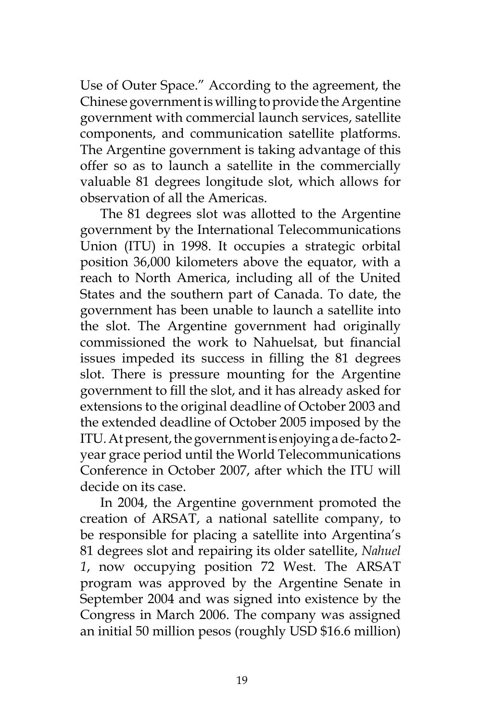Use of Outer Space." According to the agreement, the Chinese government is willing to provide the Argentine government with commercial launch services, satellite components, and communication satellite platforms. The Argentine government is taking advantage of this offer so as to launch a satellite in the commercially valuable 81 degrees longitude slot, which allows for observation of all the Americas.

The 81 degrees slot was allotted to the Argentine government by the International Telecommunications Union (ITU) in 1998. It occupies a strategic orbital position 36,000 kilometers above the equator, with a reach to North America, including all of the United States and the southern part of Canada. To date, the government has been unable to launch a satellite into the slot. The Argentine government had originally commissioned the work to Nahuelsat, but financial issues impeded its success in filling the 81 degrees slot. There is pressure mounting for the Argentine government to fill the slot, and it has already asked for extensions to the original deadline of October 2003 and the extended deadline of October 2005 imposed by the ITU. At present, the government is enjoying a de-facto 2 year grace period until the World Telecommunications Conference in October 2007, after which the ITU will decide on its case.

In 2004, the Argentine government promoted the creation of ARSAT, a national satellite company, to be responsible for placing a satellite into Argentina's 81 degrees slot and repairing its older satellite, *Nahuel 1*, now occupying position 72 West. The ARSAT program was approved by the Argentine Senate in September 2004 and was signed into existence by the Congress in March 2006. The company was assigned an initial 50 million pesos (roughly USD \$16.6 million)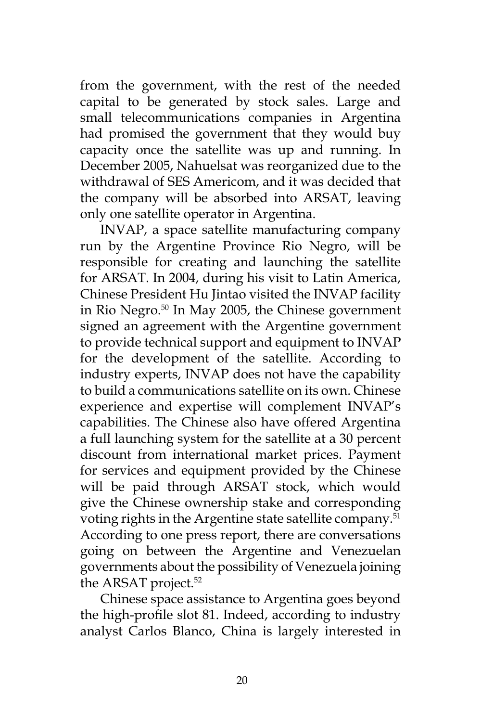from the government, with the rest of the needed capital to be generated by stock sales. Large and small telecommunications companies in Argentina had promised the government that they would buy capacity once the satellite was up and running. In December 2005, Nahuelsat was reorganized due to the withdrawal of SES Americom, and it was decided that the company will be absorbed into ARSAT, leaving only one satellite operator in Argentina.

INVAP, a space satellite manufacturing company run by the Argentine Province Rio Negro, will be responsible for creating and launching the satellite for ARSAT. In 2004, during his visit to Latin America, Chinese President Hu Jintao visited the INVAP facility in Rio Negro.50 In May 2005, the Chinese government signed an agreement with the Argentine government to provide technical support and equipment to INVAP for the development of the satellite. According to industry experts, INVAP does not have the capability to build a communications satellite on its own. Chinese experience and expertise will complement INVAP's capabilities. The Chinese also have offered Argentina a full launching system for the satellite at a 30 percent discount from international market prices. Payment for services and equipment provided by the Chinese will be paid through ARSAT stock, which would give the Chinese ownership stake and corresponding voting rights in the Argentine state satellite company.<sup>51</sup> According to one press report, there are conversations going on between the Argentine and Venezuelan governments about the possibility of Venezuela joining the ARSAT project.<sup>52</sup>

Chinese space assistance to Argentina goes beyond the high-profile slot 81. Indeed, according to industry analyst Carlos Blanco, China is largely interested in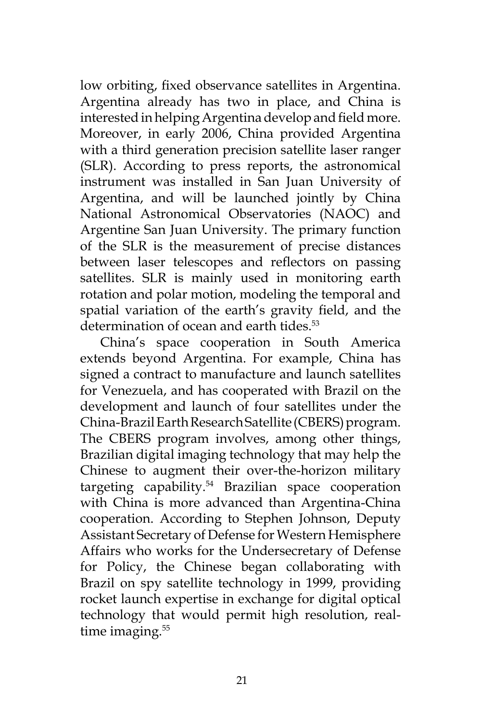low orbiting, fixed observance satellites in Argentina. Argentina already has two in place, and China is interested in helping Argentina develop and field more. Moreover, in early 2006, China provided Argentina with a third generation precision satellite laser ranger (SLR). According to press reports, the astronomical instrument was installed in San Juan University of Argentina, and will be launched jointly by China National Astronomical Observatories (NAOC) and Argentine San Juan University. The primary function of the SLR is the measurement of precise distances between laser telescopes and reflectors on passing satellites. SLR is mainly used in monitoring earth rotation and polar motion, modeling the temporal and spatial variation of the earth's gravity field, and the determination of ocean and earth tides.<sup>53</sup>

China's space cooperation in South America extends beyond Argentina. For example, China has signed a contract to manufacture and launch satellites for Venezuela, and has cooperated with Brazil on the development and launch of four satellites under the China-Brazil Earth Research Satellite (CBERS) program. The CBERS program involves, among other things, Brazilian digital imaging technology that may help the Chinese to augment their over-the-horizon military targeting capability.54 Brazilian space cooperation with China is more advanced than Argentina-China cooperation. According to Stephen Johnson, Deputy Assistant Secretary of Defense for Western Hemisphere Affairs who works for the Undersecretary of Defense for Policy, the Chinese began collaborating with Brazil on spy satellite technology in 1999, providing rocket launch expertise in exchange for digital optical technology that would permit high resolution, realtime imaging.<sup>55</sup>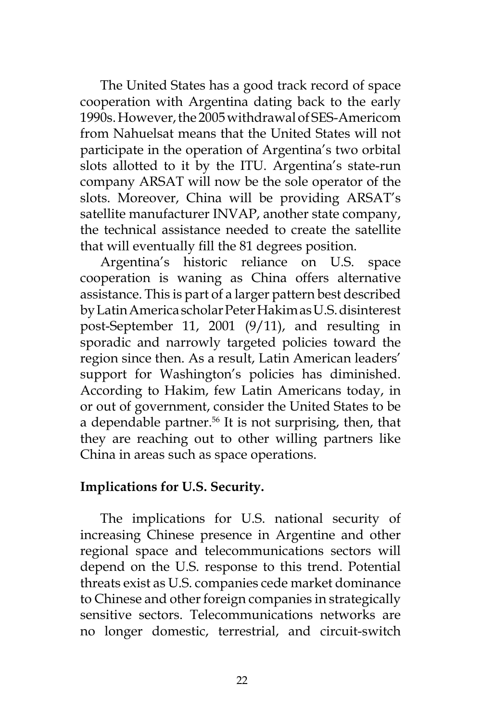The United States has a good track record of space cooperation with Argentina dating back to the early 1990s. However, the 2005 withdrawal of SES-Americom from Nahuelsat means that the United States will not participate in the operation of Argentina's two orbital slots allotted to it by the ITU. Argentina's state-run company ARSAT will now be the sole operator of the slots. Moreover, China will be providing ARSAT's satellite manufacturer INVAP, another state company, the technical assistance needed to create the satellite that will eventually fill the 81 degrees position.

Argentina's historic reliance on U.S. space cooperation is waning as China offers alternative assistance. This is part of a larger pattern best described by Latin America scholar Peter Hakim as U.S. disinterest post-September 11, 2001 (9/11), and resulting in sporadic and narrowly targeted policies toward the region since then. As a result, Latin American leaders' support for Washington's policies has diminished. According to Hakim, few Latin Americans today, in or out of government, consider the United States to be a dependable partner. $56$  It is not surprising, then, that they are reaching out to other willing partners like China in areas such as space operations.

# **Implications for U.S. Security.**

The implications for U.S. national security of increasing Chinese presence in Argentine and other regional space and telecommunications sectors will depend on the U.S. response to this trend. Potential threats exist as U.S. companies cede market dominance to Chinese and other foreign companies in strategically sensitive sectors. Telecommunications networks are no longer domestic, terrestrial, and circuit-switch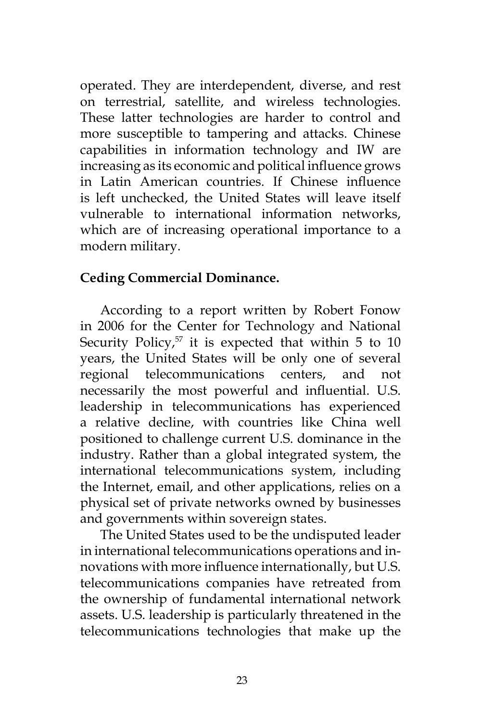operated. They are interdependent, diverse, and rest on terrestrial, satellite, and wireless technologies. These latter technologies are harder to control and more susceptible to tampering and attacks. Chinese capabilities in information technology and IW are increasing as its economic and political influence grows in Latin American countries. If Chinese influence is left unchecked, the United States will leave itself vulnerable to international information networks, which are of increasing operational importance to a modern military.

### **Ceding Commercial Dominance.**

According to a report written by Robert Fonow in 2006 for the Center for Technology and National Security Policy, $57$  it is expected that within 5 to 10 years, the United States will be only one of several regional telecommunications centers, and not necessarily the most powerful and influential. U.S. leadership in telecommunications has experienced a relative decline, with countries like China well positioned to challenge current U.S. dominance in the industry. Rather than a global integrated system, the international telecommunications system, including the Internet, email, and other applications, relies on a physical set of private networks owned by businesses and governments within sovereign states.

The United States used to be the undisputed leader in international telecommunications operations and innovations with more influence internationally, but U.S. telecommunications companies have retreated from the ownership of fundamental international network assets. U.S. leadership is particularly threatened in the telecommunications technologies that make up the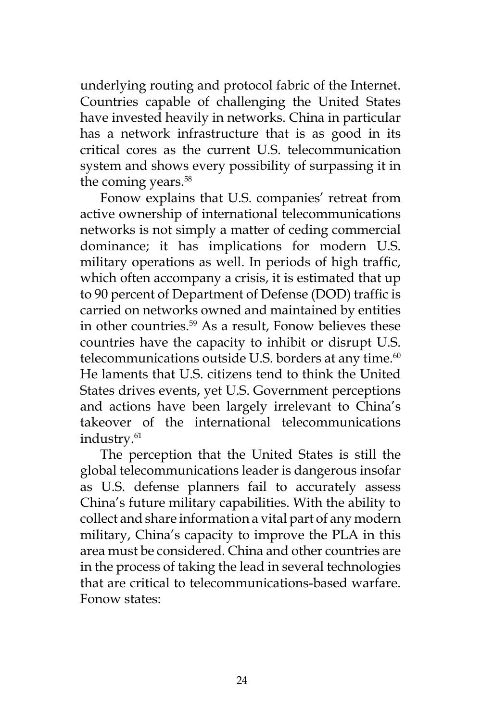underlying routing and protocol fabric of the Internet. Countries capable of challenging the United States have invested heavily in networks. China in particular has a network infrastructure that is as good in its critical cores as the current U.S. telecommunication system and shows every possibility of surpassing it in the coming years.<sup>58</sup>

Fonow explains that U.S. companies' retreat from active ownership of international telecommunications networks is not simply a matter of ceding commercial dominance; it has implications for modern U.S. military operations as well. In periods of high traffic, which often accompany a crisis, it is estimated that up to 90 percent of Department of Defense (DOD) traffic is carried on networks owned and maintained by entities in other countries.59 As a result, Fonow believes these countries have the capacity to inhibit or disrupt U.S. telecommunications outside U.S. borders at any time.<sup>60</sup> He laments that U.S. citizens tend to think the United States drives events, yet U.S. Government perceptions and actions have been largely irrelevant to China's takeover of the international telecommunications industry.<sup>61</sup>

The perception that the United States is still the global telecommunications leader is dangerous insofar as U.S. defense planners fail to accurately assess China's future military capabilities. With the ability to collect and share information a vital part of any modern military, China's capacity to improve the PLA in this area must be considered. China and other countries are in the process of taking the lead in several technologies that are critical to telecommunications-based warfare. Fonow states: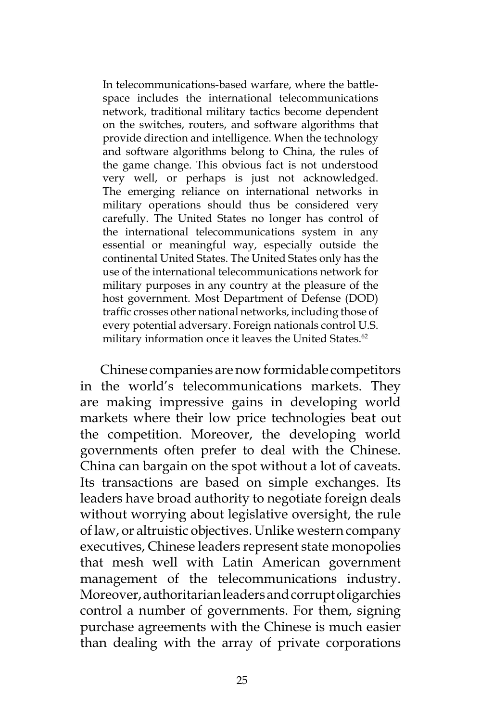In telecommunications-based warfare, where the battlespace includes the international telecommunications network, traditional military tactics become dependent on the switches, routers, and software algorithms that provide direction and intelligence. When the technology and software algorithms belong to China, the rules of the game change. This obvious fact is not understood very well, or perhaps is just not acknowledged. The emerging reliance on international networks in military operations should thus be considered very carefully. The United States no longer has control of the international telecommunications system in any essential or meaningful way, especially outside the continental United States. The United States only has the use of the international telecommunications network for military purposes in any country at the pleasure of the host government. Most Department of Defense (DOD) traffic crosses other national networks, including those of every potential adversary. Foreign nationals control U.S. military information once it leaves the United States.<sup>62</sup>

Chinese companies are now formidable competitors in the world's telecommunications markets. They are making impressive gains in developing world markets where their low price technologies beat out the competition. Moreover, the developing world governments often prefer to deal with the Chinese. China can bargain on the spot without a lot of caveats. Its transactions are based on simple exchanges. Its leaders have broad authority to negotiate foreign deals without worrying about legislative oversight, the rule of law, or altruistic objectives. Unlike western company executives, Chinese leaders represent state monopolies that mesh well with Latin American government management of the telecommunications industry. Moreover, authoritarian leaders and corrupt oligarchies control a number of governments. For them, signing purchase agreements with the Chinese is much easier than dealing with the array of private corporations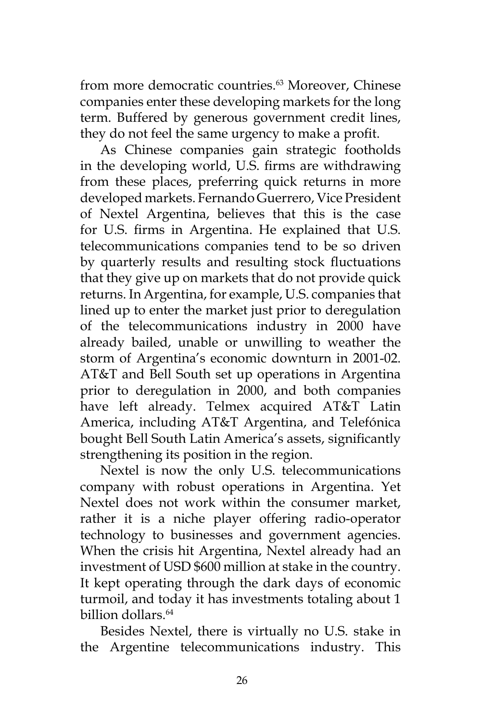from more democratic countries.<sup>63</sup> Moreover, Chinese companies enter these developing markets for the long term. Buffered by generous government credit lines, they do not feel the same urgency to make a profit.

As Chinese companies gain strategic footholds in the developing world, U.S. firms are withdrawing from these places, preferring quick returns in more developed markets. Fernando Guerrero, Vice President of Nextel Argentina, believes that this is the case for U.S. firms in Argentina. He explained that U.S. telecommunications companies tend to be so driven by quarterly results and resulting stock fluctuations that they give up on markets that do not provide quick returns. In Argentina, for example, U.S. companies that lined up to enter the market just prior to deregulation of the telecommunications industry in 2000 have already bailed, unable or unwilling to weather the storm of Argentina's economic downturn in 2001-02. AT&T and Bell South set up operations in Argentina prior to deregulation in 2000, and both companies have left already. Telmex acquired AT&T Latin America, including AT&T Argentina, and Telefónica bought Bell South Latin America's assets, significantly strengthening its position in the region.

Nextel is now the only U.S. telecommunications company with robust operations in Argentina. Yet Nextel does not work within the consumer market, rather it is a niche player offering radio-operator technology to businesses and government agencies. When the crisis hit Argentina, Nextel already had an investment of USD \$600 million at stake in the country. It kept operating through the dark days of economic turmoil, and today it has investments totaling about 1 billion dollars.64

Besides Nextel, there is virtually no U.S. stake in the Argentine telecommunications industry. This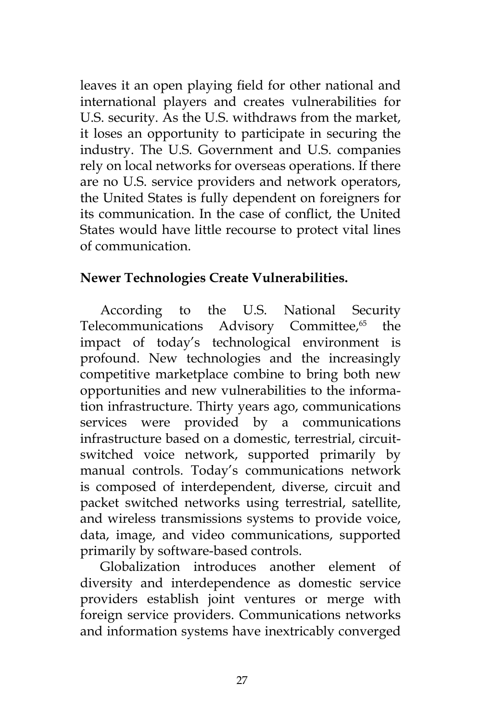leaves it an open playing field for other national and international players and creates vulnerabilities for U.S. security. As the U.S. withdraws from the market, it loses an opportunity to participate in securing the industry. The U.S. Government and U.S. companies rely on local networks for overseas operations. If there are no U.S. service providers and network operators, the United States is fully dependent on foreigners for its communication. In the case of conflict, the United States would have little recourse to protect vital lines of communication.

# **Newer Technologies Create Vulnerabilities.**

According to the U.S. National Security Telecommunications Advisory Committee,<sup>65</sup> the impact of today's technological environment is profound. New technologies and the increasingly competitive marketplace combine to bring both new opportunities and new vulnerabilities to the information infrastructure. Thirty years ago, communications services were provided by a communications infrastructure based on a domestic, terrestrial, circuitswitched voice network, supported primarily by manual controls. Today's communications network is composed of interdependent, diverse, circuit and packet switched networks using terrestrial, satellite, and wireless transmissions systems to provide voice, data, image, and video communications, supported primarily by software-based controls.

Globalization introduces another element of diversity and interdependence as domestic service providers establish joint ventures or merge with foreign service providers. Communications networks and information systems have inextricably converged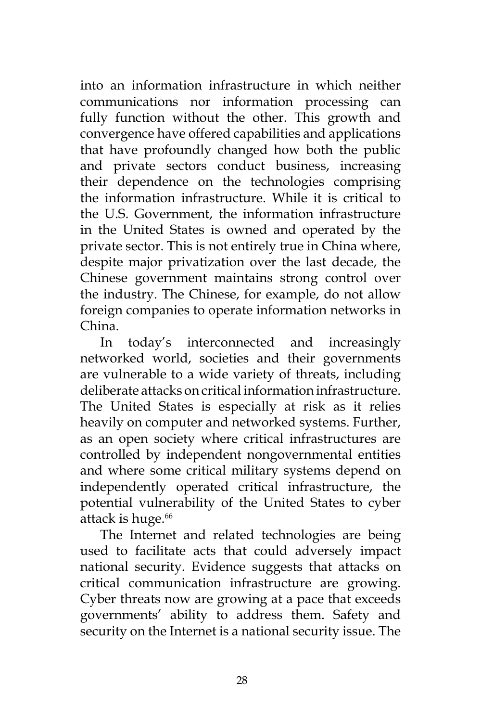into an information infrastructure in which neither communications nor information processing can fully function without the other. This growth and convergence have offered capabilities and applications that have profoundly changed how both the public and private sectors conduct business, increasing their dependence on the technologies comprising the information infrastructure. While it is critical to the U.S. Government, the information infrastructure in the United States is owned and operated by the private sector. This is not entirely true in China where, despite major privatization over the last decade, the Chinese government maintains strong control over the industry. The Chinese, for example, do not allow foreign companies to operate information networks in China.

In today's interconnected and increasingly networked world, societies and their governments are vulnerable to a wide variety of threats, including deliberate attacks on critical information infrastructure. The United States is especially at risk as it relies heavily on computer and networked systems. Further, as an open society where critical infrastructures are controlled by independent nongovernmental entities and where some critical military systems depend on independently operated critical infrastructure, the potential vulnerability of the United States to cyber attack is huge.<sup>66</sup>

The Internet and related technologies are being used to facilitate acts that could adversely impact national security. Evidence suggests that attacks on critical communication infrastructure are growing. Cyber threats now are growing at a pace that exceeds governments' ability to address them. Safety and security on the Internet is a national security issue. The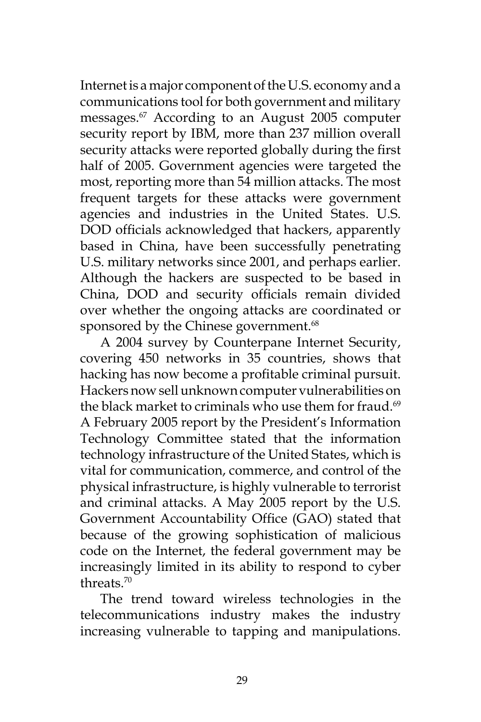Internet is a major component of the U.S. economy and a communications tool for both government and military messages.67 According to an August 2005 computer security report by IBM, more than 237 million overall security attacks were reported globally during the first half of 2005. Government agencies were targeted the most, reporting more than 54 million attacks. The most frequent targets for these attacks were government agencies and industries in the United States. U.S. DOD officials acknowledged that hackers, apparently based in China, have been successfully penetrating U.S. military networks since 2001, and perhaps earlier. Although the hackers are suspected to be based in China, DOD and security officials remain divided over whether the ongoing attacks are coordinated or sponsored by the Chinese government.<sup>68</sup>

A 2004 survey by Counterpane Internet Security, covering 450 networks in 35 countries, shows that hacking has now become a profitable criminal pursuit. Hackers now sell unknown computer vulnerabilities on the black market to criminals who use them for fraud.<sup>69</sup> A February 2005 report by the President's Information Technology Committee stated that the information technology infrastructure of the United States, which is vital for communication, commerce, and control of the physical infrastructure, is highly vulnerable to terrorist and criminal attacks. A May 2005 report by the U.S. Government Accountability Office (GAO) stated that because of the growing sophistication of malicious code on the Internet, the federal government may be increasingly limited in its ability to respond to cyber threats.70

The trend toward wireless technologies in the telecommunications industry makes the industry increasing vulnerable to tapping and manipulations.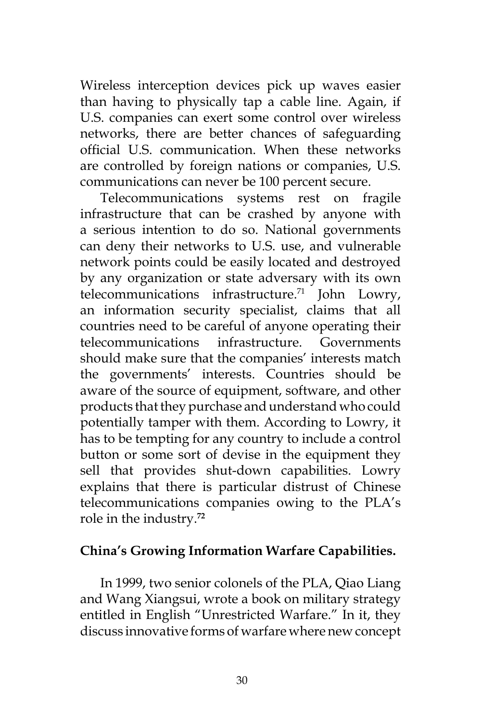Wireless interception devices pick up waves easier than having to physically tap a cable line. Again, if U.S. companies can exert some control over wireless networks, there are better chances of safeguarding official U.S. communication. When these networks are controlled by foreign nations or companies, U.S. communications can never be 100 percent secure.

Telecommunications systems rest on fragile infrastructure that can be crashed by anyone with a serious intention to do so. National governments can deny their networks to U.S. use, and vulnerable network points could be easily located and destroyed by any organization or state adversary with its own telecommunications infrastructure.71 John Lowry, an information security specialist, claims that all countries need to be careful of anyone operating their telecommunications infrastructure. Governments should make sure that the companies' interests match the governments' interests. Countries should be aware of the source of equipment, software, and other products that they purchase and understand who could potentially tamper with them. According to Lowry, it has to be tempting for any country to include a control button or some sort of devise in the equipment they sell that provides shut-down capabilities. Lowry explains that there is particular distrust of Chinese telecommunications companies owing to the PLA's role in the industry.**<sup>72</sup>**

### **China's Growing Information Warfare Capabilities.**

In 1999, two senior colonels of the PLA, Qiao Liang and Wang Xiangsui, wrote a book on military strategy entitled in English "Unrestricted Warfare." In it, they discuss innovative forms of warfare where new concept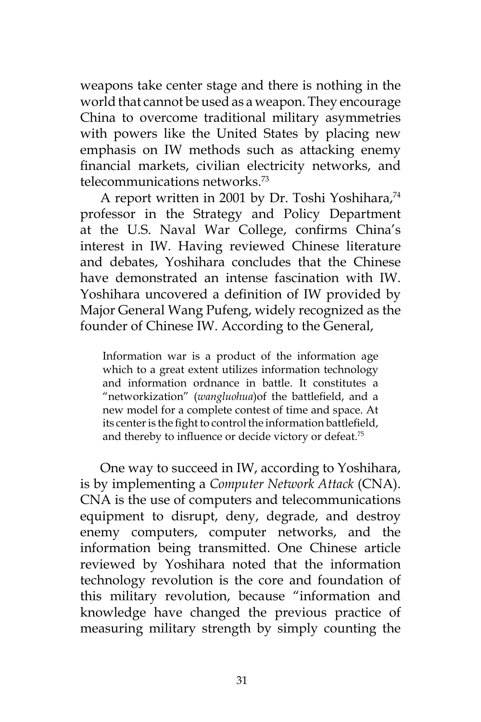weapons take center stage and there is nothing in the world that cannot be used as a weapon. They encourage China to overcome traditional military asymmetries with powers like the United States by placing new emphasis on IW methods such as attacking enemy financial markets, civilian electricity networks, and telecommunications networks.73

A report written in 2001 by Dr. Toshi Yoshihara,<sup>74</sup> professor in the Strategy and Policy Department at the U.S. Naval War College, confirms China's interest in IW. Having reviewed Chinese literature and debates, Yoshihara concludes that the Chinese have demonstrated an intense fascination with IW. Yoshihara uncovered a definition of IW provided by Major General Wang Pufeng, widely recognized as the founder of Chinese IW. According to the General,

Information war is a product of the information age which to a great extent utilizes information technology and information ordnance in battle. It constitutes a "networkization" (*wangluohua*)of the battlefield, and a new model for a complete contest of time and space. At its center is the fight to control the information battlefield, and thereby to influence or decide victory or defeat.<sup>75</sup>

One way to succeed in IW, according to Yoshihara, is by implementing a *Computer Network Attack* (CNA). CNA is the use of computers and telecommunications equipment to disrupt, deny, degrade, and destroy enemy computers, computer networks, and the information being transmitted. One Chinese article reviewed by Yoshihara noted that the information technology revolution is the core and foundation of this military revolution, because "information and knowledge have changed the previous practice of measuring military strength by simply counting the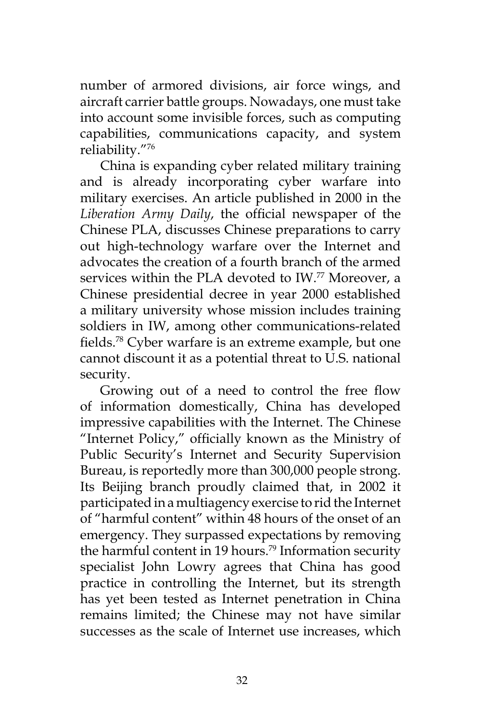number of armored divisions, air force wings, and aircraft carrier battle groups. Nowadays, one must take into account some invisible forces, such as computing capabilities, communications capacity, and system reliability."76

China is expanding cyber related military training and is already incorporating cyber warfare into military exercises. An article published in 2000 in the *Liberation Army Daily*, the official newspaper of the Chinese PLA, discusses Chinese preparations to carry out high-technology warfare over the Internet and advocates the creation of a fourth branch of the armed services within the PLA devoted to IW.<sup>77</sup> Moreover, a Chinese presidential decree in year 2000 established a military university whose mission includes training soldiers in IW, among other communications-related fields.78 Cyber warfare is an extreme example, but one cannot discount it as a potential threat to U.S. national security.

Growing out of a need to control the free flow of information domestically, China has developed impressive capabilities with the Internet. The Chinese "Internet Policy," officially known as the Ministry of Public Security's Internet and Security Supervision Bureau, is reportedly more than 300,000 people strong. Its Beijing branch proudly claimed that, in 2002 it participated in a multiagency exercise to rid the Internet of "harmful content" within 48 hours of the onset of an emergency. They surpassed expectations by removing the harmful content in 19 hours.<sup>79</sup> Information security specialist John Lowry agrees that China has good practice in controlling the Internet, but its strength has yet been tested as Internet penetration in China remains limited; the Chinese may not have similar successes as the scale of Internet use increases, which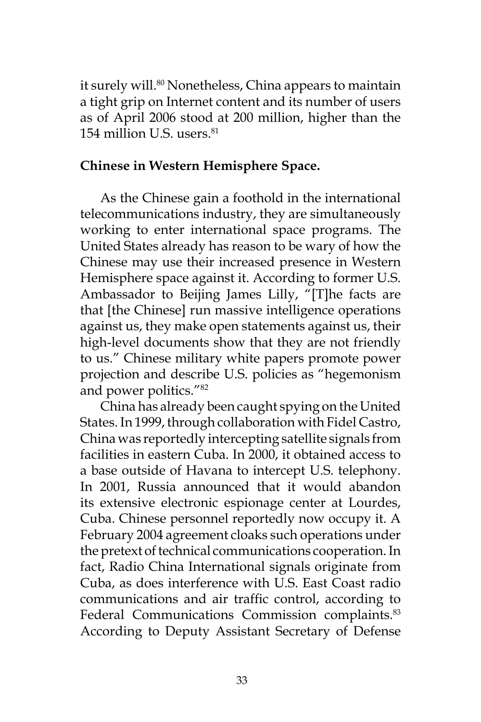it surely will.<sup>80</sup> Nonetheless, China appears to maintain a tight grip on Internet content and its number of users as of April 2006 stood at 200 million, higher than the 154 million U.S. users. $81$ 

#### **Chinese in Western Hemisphere Space.**

As the Chinese gain a foothold in the international telecommunications industry, they are simultaneously working to enter international space programs. The United States already has reason to be wary of how the Chinese may use their increased presence in Western Hemisphere space against it. According to former U.S. Ambassador to Beijing James Lilly, "[T]he facts are that [the Chinese] run massive intelligence operations against us, they make open statements against us, their high-level documents show that they are not friendly to us." Chinese military white papers promote power projection and describe U.S. policies as "hegemonism and power politics."82

China has already been caught spying on the United States. In 1999, through collaboration with Fidel Castro, China was reportedly intercepting satellite signals from facilities in eastern Cuba. In 2000, it obtained access to a base outside of Havana to intercept U.S. telephony. In 2001, Russia announced that it would abandon its extensive electronic espionage center at Lourdes, Cuba. Chinese personnel reportedly now occupy it. A February 2004 agreement cloaks such operations under the pretext of technical communications cooperation. In fact, Radio China International signals originate from Cuba, as does interference with U.S. East Coast radio communications and air traffic control, according to Federal Communications Commission complaints.<sup>83</sup> According to Deputy Assistant Secretary of Defense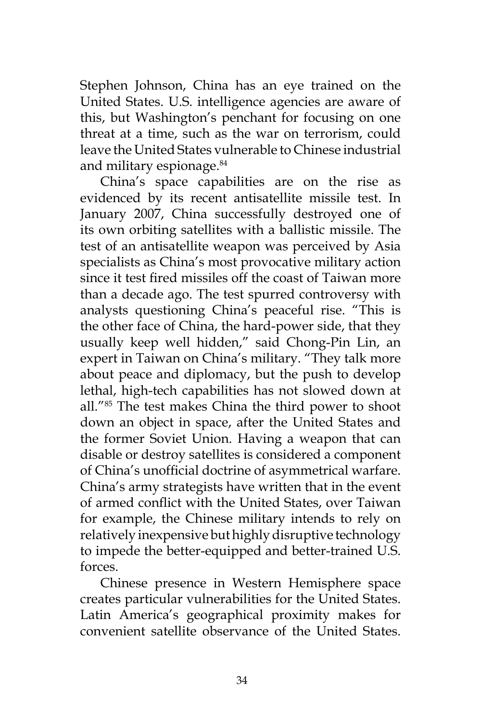Stephen Johnson, China has an eye trained on the United States. U.S. intelligence agencies are aware of this, but Washington's penchant for focusing on one threat at a time, such as the war on terrorism, could leave the United States vulnerable to Chinese industrial and military espionage.84

China's space capabilities are on the rise as evidenced by its recent antisatellite missile test. In January 2007, China successfully destroyed one of its own orbiting satellites with a ballistic missile. The test of an antisatellite weapon was perceived by Asia specialists as China's most provocative military action since it test fired missiles off the coast of Taiwan more than a decade ago. The test spurred controversy with analysts questioning China's peaceful rise. "This is the other face of China, the hard-power side, that they usually keep well hidden," said Chong-Pin Lin, an expert in Taiwan on China's military. "They talk more about peace and diplomacy, but the push to develop lethal, high-tech capabilities has not slowed down at all."85 The test makes China the third power to shoot down an object in space, after the United States and the former Soviet Union. Having a weapon that can disable or destroy satellites is considered a component of China's unofficial doctrine of asymmetrical warfare. China's army strategists have written that in the event of armed conflict with the United States, over Taiwan for example, the Chinese military intends to rely on relatively inexpensive but highly disruptive technology to impede the better-equipped and better-trained U.S. forces.

Chinese presence in Western Hemisphere space creates particular vulnerabilities for the United States. Latin America's geographical proximity makes for convenient satellite observance of the United States.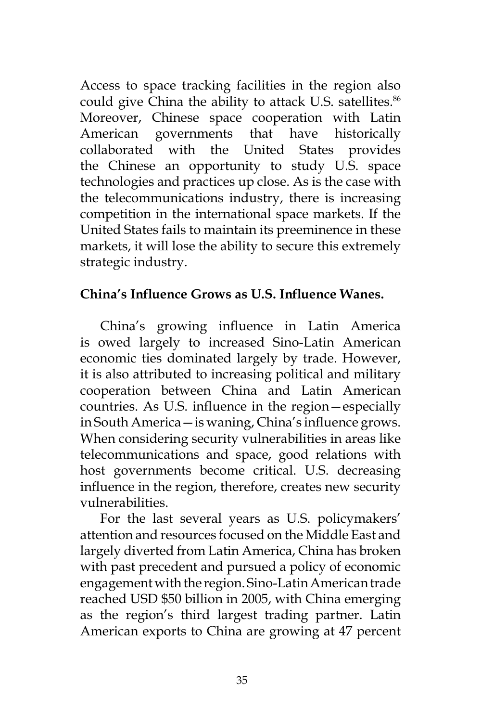Access to space tracking facilities in the region also could give China the ability to attack U.S. satellites.<sup>86</sup> Moreover, Chinese space cooperation with Latin American governments that have historically collaborated with the United States provides the Chinese an opportunity to study U.S. space technologies and practices up close. As is the case with the telecommunications industry, there is increasing competition in the international space markets. If the United States fails to maintain its preeminence in these markets, it will lose the ability to secure this extremely strategic industry.

### **China's Influence Grows as U.S. Influence Wanes.**

China's growing influence in Latin America is owed largely to increased Sino-Latin American economic ties dominated largely by trade. However, it is also attributed to increasing political and military cooperation between China and Latin American countries. As U.S. influence in the region—especially in South America—is waning, China's influence grows. When considering security vulnerabilities in areas like telecommunications and space, good relations with host governments become critical. U.S. decreasing influence in the region, therefore, creates new security vulnerabilities.

For the last several years as U.S. policymakers' attention and resources focused on the Middle East and largely diverted from Latin America, China has broken with past precedent and pursued a policy of economic engagement with the region. Sino-Latin American trade reached USD \$50 billion in 2005, with China emerging as the region's third largest trading partner. Latin American exports to China are growing at 47 percent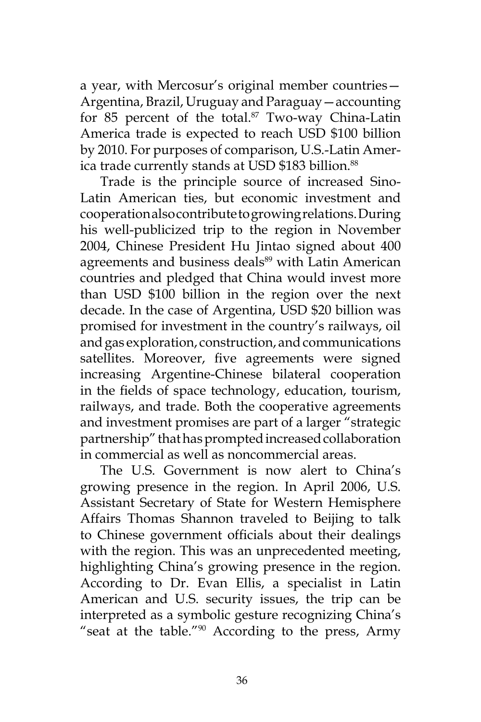a year, with Mercosur's original member countries— Argentina, Brazil, Uruguay and Paraguay—accounting for 85 percent of the total. $87$  Two-way China-Latin America trade is expected to reach USD \$100 billion by 2010. For purposes of comparison, U.S.-Latin America trade currently stands at USD \$183 billion.<sup>88</sup>

Trade is the principle source of increased Sino-Latin American ties, but economic investment and cooperation also contribute to growing relations. During his well-publicized trip to the region in November 2004, Chinese President Hu Jintao signed about 400 agreements and business deals<sup>89</sup> with Latin American countries and pledged that China would invest more than USD \$100 billion in the region over the next decade. In the case of Argentina, USD \$20 billion was promised for investment in the country's railways, oil and gas exploration, construction, and communications satellites. Moreover, five agreements were signed increasing Argentine-Chinese bilateral cooperation in the fields of space technology, education, tourism, railways, and trade. Both the cooperative agreements and investment promises are part of a larger "strategic partnership" that has prompted increased collaboration in commercial as well as noncommercial areas.

The U.S. Government is now alert to China's growing presence in the region. In April 2006, U.S. Assistant Secretary of State for Western Hemisphere Affairs Thomas Shannon traveled to Beijing to talk to Chinese government officials about their dealings with the region. This was an unprecedented meeting, highlighting China's growing presence in the region. According to Dr. Evan Ellis, a specialist in Latin American and U.S. security issues, the trip can be interpreted as a symbolic gesture recognizing China's "seat at the table."90 According to the press, Army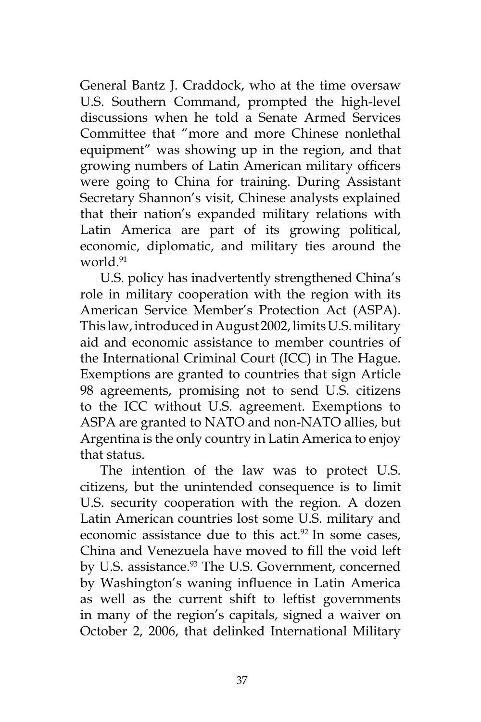General Bantz J. Craddock, who at the time oversaw U.S. Southern Command, prompted the high-level discussions when he told a Senate Armed Services Committee that "more and more Chinese nonlethal equipment" was showing up in the region, and that growing numbers of Latin American military officers were going to China for training. During Assistant Secretary Shannon's visit, Chinese analysts explained that their nation's expanded military relations with Latin America are part of its growing political, economic, diplomatic, and military ties around the world.<sup>91</sup>

U.S. policy has inadvertently strengthened China's role in military cooperation with the region with its American Service Member's Protection Act (ASPA). This law, introduced in August 2002, limits U.S. military aid and economic assistance to member countries of the International Criminal Court (ICC) in The Hague. Exemptions are granted to countries that sign Article 98 agreements, promising not to send U.S. citizens to the ICC without U.S. agreement. Exemptions to ASPA are granted to NATO and non-NATO allies, but Argentina is the only country in Latin America to enjoy that status.

The intention of the law was to protect U.S. citizens, but the unintended consequence is to limit U.S. security cooperation with the region. A dozen Latin American countries lost some U.S. military and economic assistance due to this act. $92$  In some cases, China and Venezuela have moved to fill the void left by U.S. assistance.<sup>93</sup> The U.S. Government, concerned by Washington's waning influence in Latin America as well as the current shift to leftist governments in many of the region's capitals, signed a waiver on October 2, 2006, that delinked International Military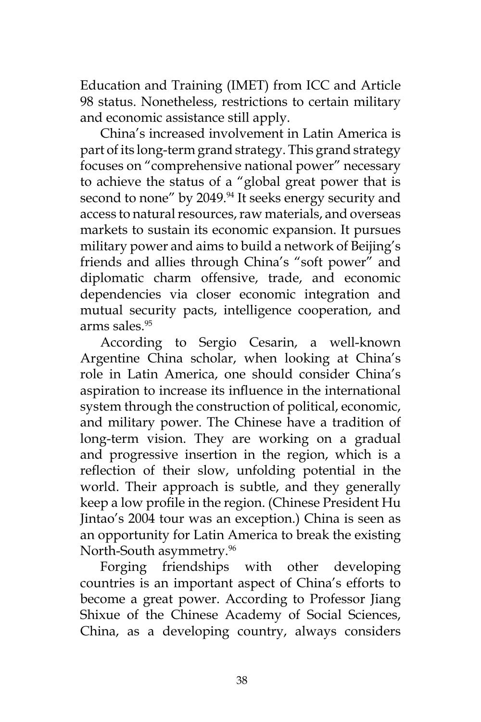Education and Training (IMET) from ICC and Article 98 status. Nonetheless, restrictions to certain military and economic assistance still apply.

China's increased involvement in Latin America is part of its long-term grand strategy. This grand strategy focuses on "comprehensive national power" necessary to achieve the status of a "global great power that is second to none" by 2049.<sup>94</sup> It seeks energy security and access to natural resources, raw materials, and overseas markets to sustain its economic expansion. It pursues military power and aims to build a network of Beijing's friends and allies through China's "soft power" and diplomatic charm offensive, trade, and economic dependencies via closer economic integration and mutual security pacts, intelligence cooperation, and arms sales.95

According to Sergio Cesarin, a well-known Argentine China scholar, when looking at China's role in Latin America, one should consider China's aspiration to increase its influence in the international system through the construction of political, economic, and military power. The Chinese have a tradition of long-term vision. They are working on a gradual and progressive insertion in the region, which is a reflection of their slow, unfolding potential in the world. Their approach is subtle, and they generally keep a low profile in the region. (Chinese President Hu Jintao's 2004 tour was an exception.) China is seen as an opportunity for Latin America to break the existing North-South asymmetry.<sup>96</sup>

Forging friendships with other developing countries is an important aspect of China's efforts to become a great power. According to Professor Jiang Shixue of the Chinese Academy of Social Sciences, China, as a developing country, always considers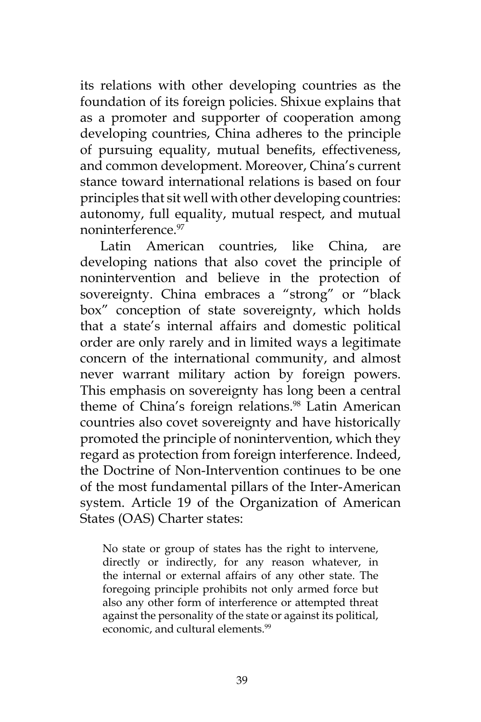its relations with other developing countries as the foundation of its foreign policies. Shixue explains that as a promoter and supporter of cooperation among developing countries, China adheres to the principle of pursuing equality, mutual benefits, effectiveness, and common development. Moreover, China's current stance toward international relations is based on four principles that sit well with other developing countries: autonomy, full equality, mutual respect, and mutual noninterference<sup>97</sup>

Latin American countries, like China, are developing nations that also covet the principle of nonintervention and believe in the protection of sovereignty. China embraces a "strong" or "black box" conception of state sovereignty, which holds that a state's internal affairs and domestic political order are only rarely and in limited ways a legitimate concern of the international community, and almost never warrant military action by foreign powers. This emphasis on sovereignty has long been a central theme of China's foreign relations.<sup>98</sup> Latin American countries also covet sovereignty and have historically promoted the principle of nonintervention, which they regard as protection from foreign interference. Indeed, the Doctrine of Non-Intervention continues to be one of the most fundamental pillars of the Inter-American system. Article 19 of the Organization of American States (OAS) Charter states:

No state or group of states has the right to intervene, directly or indirectly, for any reason whatever, in the internal or external affairs of any other state. The foregoing principle prohibits not only armed force but also any other form of interference or attempted threat against the personality of the state or against its political, economic, and cultural elements.<sup>99</sup>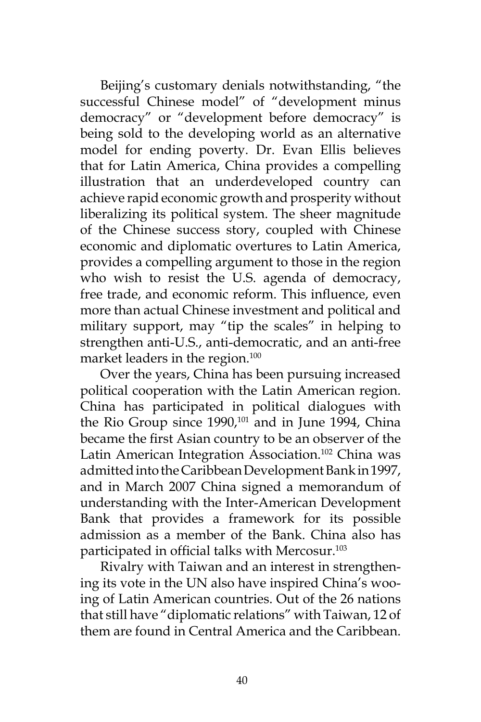Beijing's customary denials notwithstanding, "the successful Chinese model" of "development minus democracy" or "development before democracy" is being sold to the developing world as an alternative model for ending poverty. Dr. Evan Ellis believes that for Latin America, China provides a compelling illustration that an underdeveloped country can achieve rapid economic growth and prosperity without liberalizing its political system. The sheer magnitude of the Chinese success story, coupled with Chinese economic and diplomatic overtures to Latin America, provides a compelling argument to those in the region who wish to resist the U.S. agenda of democracy, free trade, and economic reform. This influence, even more than actual Chinese investment and political and military support, may "tip the scales" in helping to strengthen anti-U.S., anti-democratic, and an anti-free market leaders in the region.<sup>100</sup>

Over the years, China has been pursuing increased political cooperation with the Latin American region. China has participated in political dialogues with the Rio Group since 1990,<sup>101</sup> and in June 1994, China became the first Asian country to be an observer of the Latin American Integration Association.<sup>102</sup> China was admitted into the Caribbean Development Bank in 1997, and in March 2007 China signed a memorandum of understanding with the Inter-American Development Bank that provides a framework for its possible admission as a member of the Bank. China also has participated in official talks with Mercosur.<sup>103</sup>

Rivalry with Taiwan and an interest in strengthening its vote in the UN also have inspired China's wooing of Latin American countries. Out of the 26 nations that still have "diplomatic relations" with Taiwan, 12 of them are found in Central America and the Caribbean.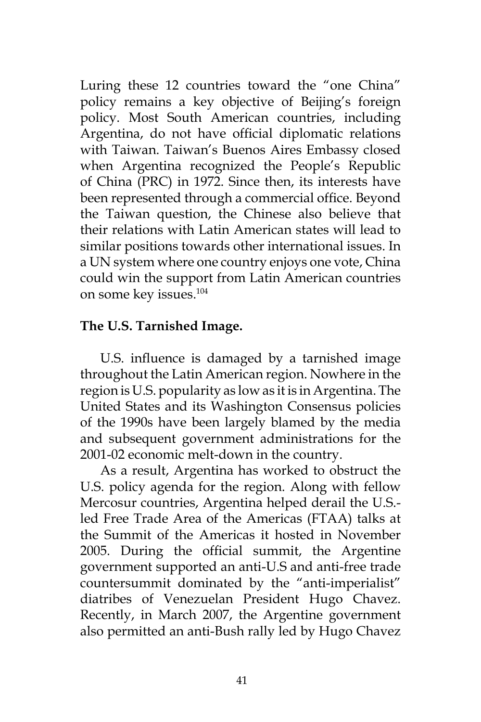Luring these 12 countries toward the "one China" policy remains a key objective of Beijing's foreign policy. Most South American countries, including Argentina, do not have official diplomatic relations with Taiwan. Taiwan's Buenos Aires Embassy closed when Argentina recognized the People's Republic of China (PRC) in 1972. Since then, its interests have been represented through a commercial office. Beyond the Taiwan question, the Chinese also believe that their relations with Latin American states will lead to similar positions towards other international issues. In a UN system where one country enjoys one vote, China could win the support from Latin American countries on some key issues.104

### **The U.S. Tarnished Image.**

U.S. influence is damaged by a tarnished image throughout the Latin American region. Nowhere in the region is U.S. popularity as low as it is in Argentina. The United States and its Washington Consensus policies of the 1990s have been largely blamed by the media and subsequent government administrations for the 2001-02 economic melt-down in the country.

As a result, Argentina has worked to obstruct the U.S. policy agenda for the region. Along with fellow Mercosur countries, Argentina helped derail the U.S. led Free Trade Area of the Americas (FTAA) talks at the Summit of the Americas it hosted in November 2005. During the official summit, the Argentine government supported an anti-U.S and anti-free trade countersummit dominated by the "anti-imperialist" diatribes of Venezuelan President Hugo Chavez. Recently, in March 2007, the Argentine government also permitted an anti-Bush rally led by Hugo Chavez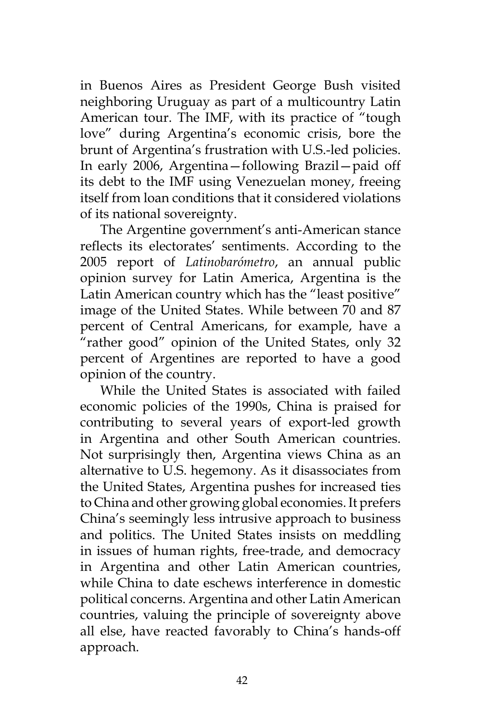in Buenos Aires as President George Bush visited neighboring Uruguay as part of a multicountry Latin American tour. The IMF, with its practice of "tough love" during Argentina's economic crisis, bore the brunt of Argentina's frustration with U.S.-led policies. In early 2006, Argentina—following Brazil—paid off its debt to the IMF using Venezuelan money, freeing itself from loan conditions that it considered violations of its national sovereignty.

The Argentine government's anti-American stance reflects its electorates' sentiments. According to the 2005 report of *Latinobarómetro*, an annual public opinion survey for Latin America, Argentina is the Latin American country which has the "least positive" image of the United States. While between 70 and 87 percent of Central Americans, for example, have a "rather good" opinion of the United States, only 32 percent of Argentines are reported to have a good opinion of the country.

While the United States is associated with failed economic policies of the 1990s, China is praised for contributing to several years of export-led growth in Argentina and other South American countries. Not surprisingly then, Argentina views China as an alternative to U.S. hegemony. As it disassociates from the United States, Argentina pushes for increased ties to China and other growing global economies. It prefers China's seemingly less intrusive approach to business and politics. The United States insists on meddling in issues of human rights, free-trade, and democracy in Argentina and other Latin American countries, while China to date eschews interference in domestic political concerns. Argentina and other Latin American countries, valuing the principle of sovereignty above all else, have reacted favorably to China's hands-off approach.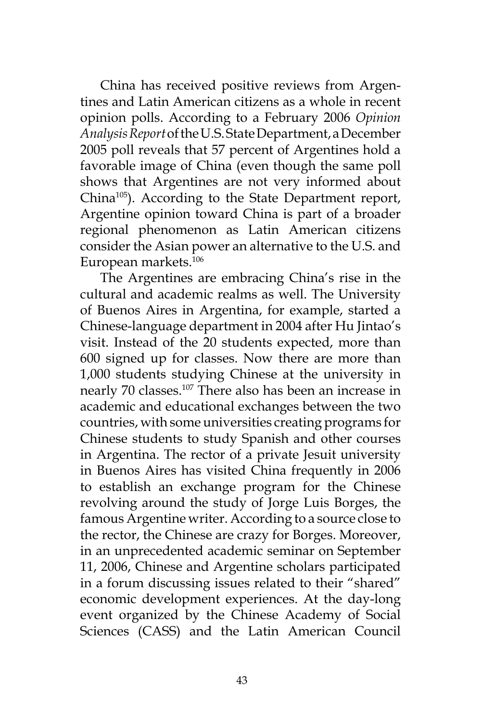China has received positive reviews from Argentines and Latin American citizens as a whole in recent opinion polls. According to a February 2006 *Opinion Analysis Report* of the U.S. State Department, a December 2005 poll reveals that 57 percent of Argentines hold a favorable image of China (even though the same poll shows that Argentines are not very informed about China105). According to the State Department report, Argentine opinion toward China is part of a broader regional phenomenon as Latin American citizens consider the Asian power an alternative to the U.S. and European markets.106

The Argentines are embracing China's rise in the cultural and academic realms as well. The University of Buenos Aires in Argentina, for example, started a Chinese-language department in 2004 after Hu Jintao's visit. Instead of the 20 students expected, more than 600 signed up for classes. Now there are more than 1,000 students studying Chinese at the university in nearly 70 classes.107 There also has been an increase in academic and educational exchanges between the two countries, with some universities creating programs for Chinese students to study Spanish and other courses in Argentina. The rector of a private Jesuit university in Buenos Aires has visited China frequently in 2006 to establish an exchange program for the Chinese revolving around the study of Jorge Luis Borges, the famous Argentine writer. According to a source close to the rector, the Chinese are crazy for Borges. Moreover, in an unprecedented academic seminar on September 11, 2006, Chinese and Argentine scholars participated in a forum discussing issues related to their "shared" economic development experiences. At the day-long event organized by the Chinese Academy of Social Sciences (CASS) and the Latin American Council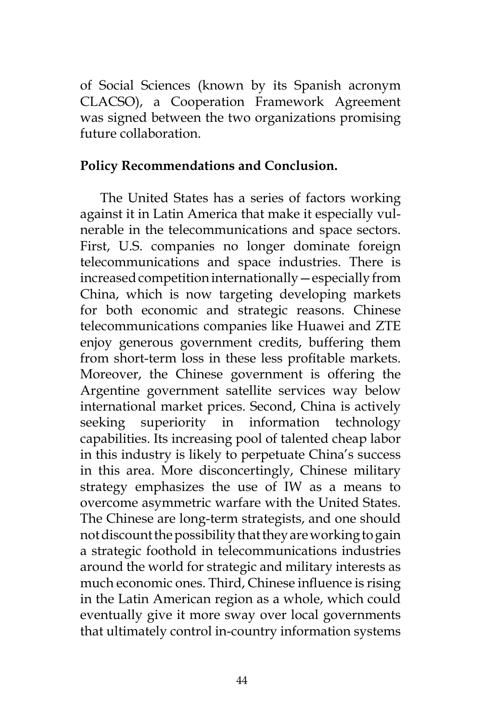of Social Sciences (known by its Spanish acronym CLACSO), a Cooperation Framework Agreement was signed between the two organizations promising future collaboration.

#### **Policy Recommendations and Conclusion.**

The United States has a series of factors working against it in Latin America that make it especially vulnerable in the telecommunications and space sectors. First, U.S. companies no longer dominate foreign telecommunications and space industries. There is increased competition internationally—especially from China, which is now targeting developing markets for both economic and strategic reasons. Chinese telecommunications companies like Huawei and ZTE enjoy generous government credits, buffering them from short-term loss in these less profitable markets. Moreover, the Chinese government is offering the Argentine government satellite services way below international market prices. Second, China is actively seeking superiority in information technology capabilities. Its increasing pool of talented cheap labor in this industry is likely to perpetuate China's success in this area. More disconcertingly, Chinese military strategy emphasizes the use of IW as a means to overcome asymmetric warfare with the United States. The Chinese are long-term strategists, and one should not discount the possibility that they are working to gain a strategic foothold in telecommunications industries around the world for strategic and military interests as much economic ones. Third, Chinese influence is rising in the Latin American region as a whole, which could eventually give it more sway over local governments that ultimately control in-country information systems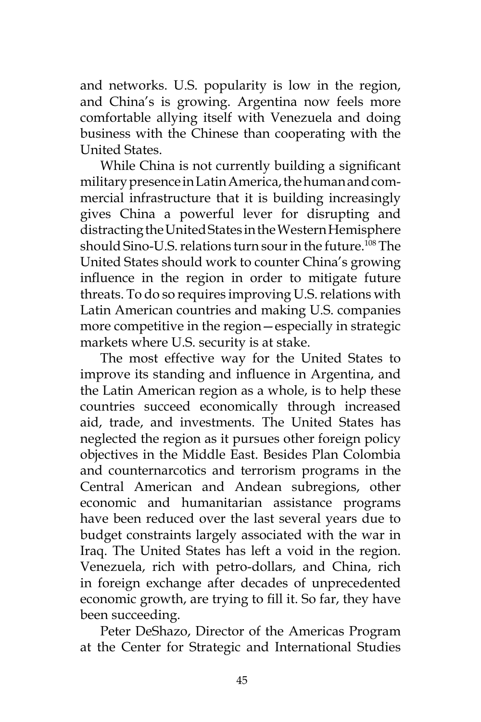and networks. U.S. popularity is low in the region, and China's is growing. Argentina now feels more comfortable allying itself with Venezuela and doing business with the Chinese than cooperating with the United States.

While China is not currently building a significant military presence in Latin America, the human and commercial infrastructure that it is building increasingly gives China a powerful lever for disrupting and distracting the United States in the Western Hemisphere should Sino-U.S. relations turn sour in the future.<sup>108</sup> The United States should work to counter China's growing influence in the region in order to mitigate future threats. To do so requires improving U.S. relations with Latin American countries and making U.S. companies more competitive in the region—especially in strategic markets where U.S. security is at stake.

The most effective way for the United States to improve its standing and influence in Argentina, and the Latin American region as a whole, is to help these countries succeed economically through increased aid, trade, and investments. The United States has neglected the region as it pursues other foreign policy objectives in the Middle East. Besides Plan Colombia and counternarcotics and terrorism programs in the Central American and Andean subregions, other economic and humanitarian assistance programs have been reduced over the last several years due to budget constraints largely associated with the war in Iraq. The United States has left a void in the region. Venezuela, rich with petro-dollars, and China, rich in foreign exchange after decades of unprecedented economic growth, are trying to fill it. So far, they have been succeeding.

Peter DeShazo, Director of the Americas Program at the Center for Strategic and International Studies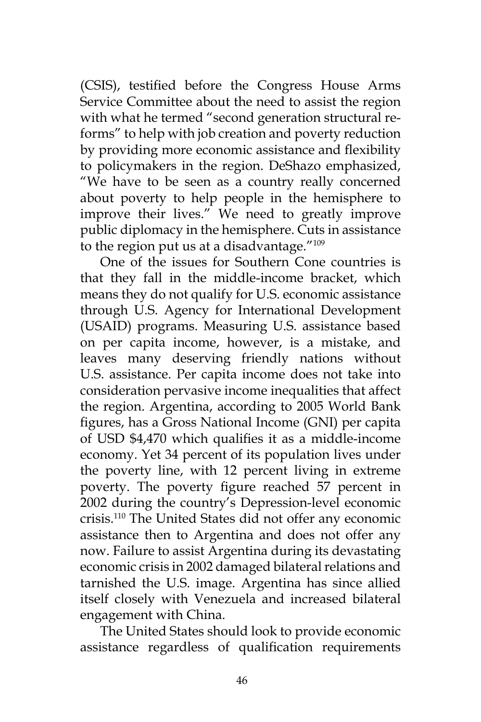(CSIS), testified before the Congress House Arms Service Committee about the need to assist the region with what he termed "second generation structural reforms" to help with job creation and poverty reduction by providing more economic assistance and flexibility to policymakers in the region. DeShazo emphasized, "We have to be seen as a country really concerned about poverty to help people in the hemisphere to improve their lives." We need to greatly improve public diplomacy in the hemisphere. Cuts in assistance to the region put us at a disadvantage. $^{\prime\prime}$ <sup>109</sup>

One of the issues for Southern Cone countries is that they fall in the middle-income bracket, which means they do not qualify for U.S. economic assistance through U.S. Agency for International Development (USAID) programs. Measuring U.S. assistance based on per capita income, however, is a mistake, and leaves many deserving friendly nations without U.S. assistance. Per capita income does not take into consideration pervasive income inequalities that affect the region. Argentina, according to 2005 World Bank figures, has a Gross National Income (GNI) per capita of USD \$4,470 which qualifies it as a middle-income economy. Yet 34 percent of its population lives under the poverty line, with 12 percent living in extreme poverty. The poverty figure reached 57 percent in 2002 during the country's Depression-level economic crisis.110 The United States did not offer any economic assistance then to Argentina and does not offer any now. Failure to assist Argentina during its devastating economic crisis in 2002 damaged bilateral relations and tarnished the U.S. image. Argentina has since allied itself closely with Venezuela and increased bilateral engagement with China.

The United States should look to provide economic assistance regardless of qualification requirements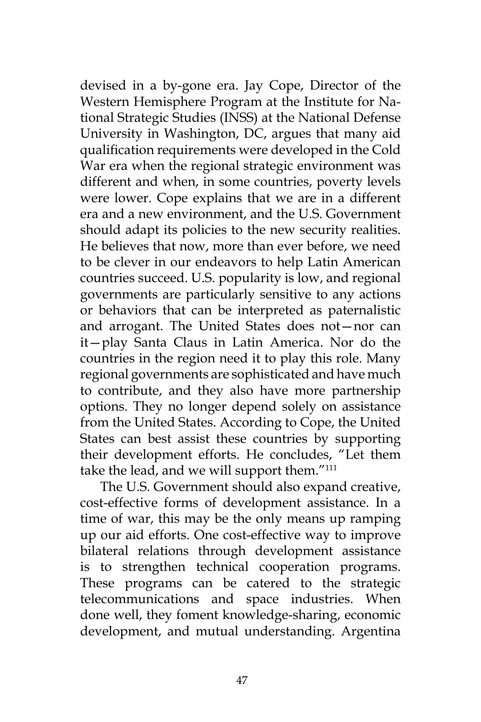devised in a by-gone era. Jay Cope, Director of the Western Hemisphere Program at the Institute for National Strategic Studies (INSS) at the National Defense University in Washington, DC, argues that many aid qualification requirements were developed in the Cold War era when the regional strategic environment was different and when, in some countries, poverty levels were lower. Cope explains that we are in a different era and a new environment, and the U.S. Government should adapt its policies to the new security realities. He believes that now, more than ever before, we need to be clever in our endeavors to help Latin American countries succeed. U.S. popularity is low, and regional governments are particularly sensitive to any actions or behaviors that can be interpreted as paternalistic and arrogant. The United States does not—nor can it—play Santa Claus in Latin America. Nor do the countries in the region need it to play this role. Many regional governments are sophisticated and have much to contribute, and they also have more partnership options. They no longer depend solely on assistance from the United States. According to Cope, the United States can best assist these countries by supporting their development efforts. He concludes, "Let them take the lead, and we will support them."<sup>111</sup>

The U.S. Government should also expand creative, cost-effective forms of development assistance. In a time of war, this may be the only means up ramping up our aid efforts. One cost-effective way to improve bilateral relations through development assistance is to strengthen technical cooperation programs. These programs can be catered to the strategic telecommunications and space industries. When done well, they foment knowledge-sharing, economic development, and mutual understanding. Argentina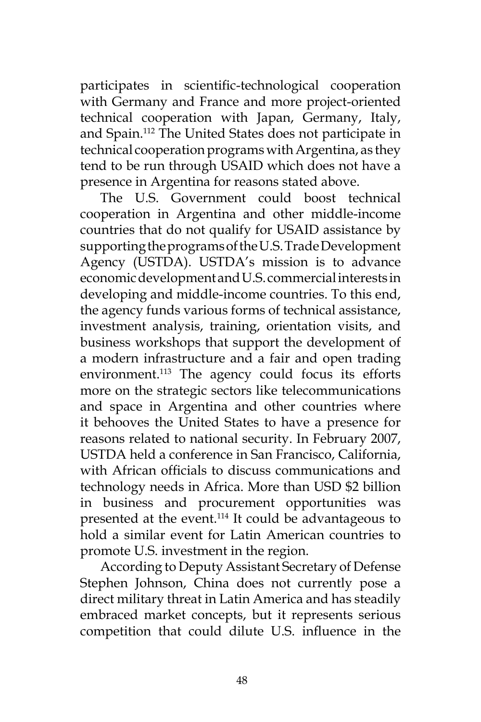participates in scientific-technological cooperation with Germany and France and more project-oriented technical cooperation with Japan, Germany, Italy, and Spain.112 The United States does not participate in technical cooperation programs with Argentina, as they tend to be run through USAID which does not have a presence in Argentina for reasons stated above.

The U.S. Government could boost technical cooperation in Argentina and other middle-income countries that do not qualify for USAID assistance by supporting the programs of the U.S. Trade Development Agency (USTDA). USTDA's mission is to advance economic development and U.S. commercial interests in developing and middle-income countries. To this end, the agency funds various forms of technical assistance, investment analysis, training, orientation visits, and business workshops that support the development of a modern infrastructure and a fair and open trading environment.<sup>113</sup> The agency could focus its efforts more on the strategic sectors like telecommunications and space in Argentina and other countries where it behooves the United States to have a presence for reasons related to national security. In February 2007, USTDA held a conference in San Francisco, California, with African officials to discuss communications and technology needs in Africa. More than USD \$2 billion in business and procurement opportunities was presented at the event.<sup>114</sup> It could be advantageous to hold a similar event for Latin American countries to promote U.S. investment in the region.

According to Deputy Assistant Secretary of Defense Stephen Johnson, China does not currently pose a direct military threat in Latin America and has steadily embraced market concepts, but it represents serious competition that could dilute U.S. influence in the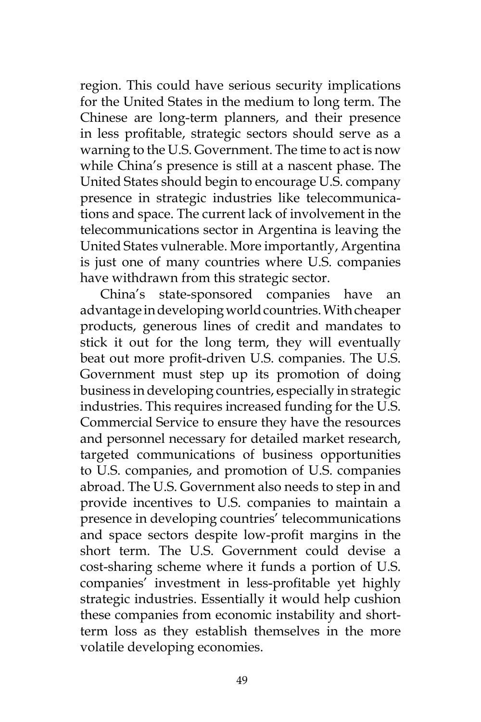region. This could have serious security implications for the United States in the medium to long term. The Chinese are long-term planners, and their presence in less profitable, strategic sectors should serve as a warning to the U.S. Government. The time to act is now while China's presence is still at a nascent phase. The United States should begin to encourage U.S. company presence in strategic industries like telecommunications and space. The current lack of involvement in the telecommunications sector in Argentina is leaving the United States vulnerable. More importantly, Argentina is just one of many countries where U.S. companies have withdrawn from this strategic sector.

China's state-sponsored companies have an advantage in developing world countries. With cheaper products, generous lines of credit and mandates to stick it out for the long term, they will eventually beat out more profit-driven U.S. companies. The U.S. Government must step up its promotion of doing business in developing countries, especially in strategic industries. This requires increased funding for the U.S. Commercial Service to ensure they have the resources and personnel necessary for detailed market research, targeted communications of business opportunities to U.S. companies, and promotion of U.S. companies abroad. The U.S. Government also needs to step in and provide incentives to U.S. companies to maintain a presence in developing countries' telecommunications and space sectors despite low-profit margins in the short term. The U.S. Government could devise a cost-sharing scheme where it funds a portion of U.S. companies' investment in less-profitable yet highly strategic industries. Essentially it would help cushion these companies from economic instability and shortterm loss as they establish themselves in the more volatile developing economies.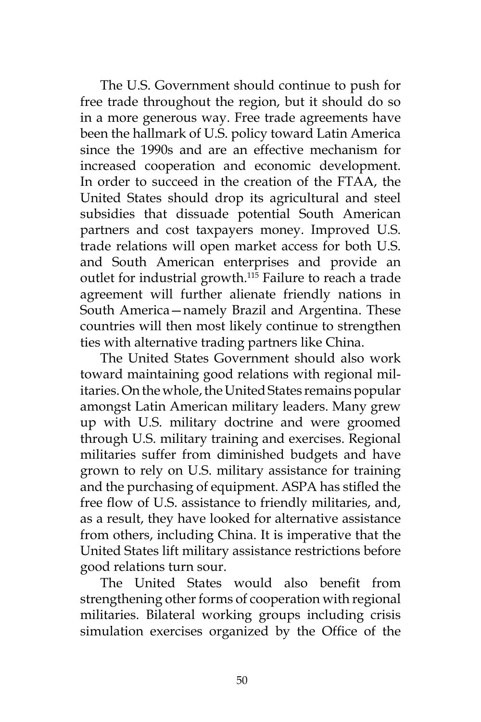The U.S. Government should continue to push for free trade throughout the region, but it should do so in a more generous way. Free trade agreements have been the hallmark of U.S. policy toward Latin America since the 1990s and are an effective mechanism for increased cooperation and economic development. In order to succeed in the creation of the FTAA, the United States should drop its agricultural and steel subsidies that dissuade potential South American partners and cost taxpayers money. Improved U.S. trade relations will open market access for both U.S. and South American enterprises and provide an outlet for industrial growth.<sup>115</sup> Failure to reach a trade agreement will further alienate friendly nations in South America—namely Brazil and Argentina. These countries will then most likely continue to strengthen ties with alternative trading partners like China.

The United States Government should also work toward maintaining good relations with regional militaries. On the whole, the United States remains popular amongst Latin American military leaders. Many grew up with U.S. military doctrine and were groomed through U.S. military training and exercises. Regional militaries suffer from diminished budgets and have grown to rely on U.S. military assistance for training and the purchasing of equipment. ASPA has stifled the free flow of U.S. assistance to friendly militaries, and, as a result, they have looked for alternative assistance from others, including China. It is imperative that the United States lift military assistance restrictions before good relations turn sour.

The United States would also benefit from strengthening other forms of cooperation with regional militaries. Bilateral working groups including crisis simulation exercises organized by the Office of the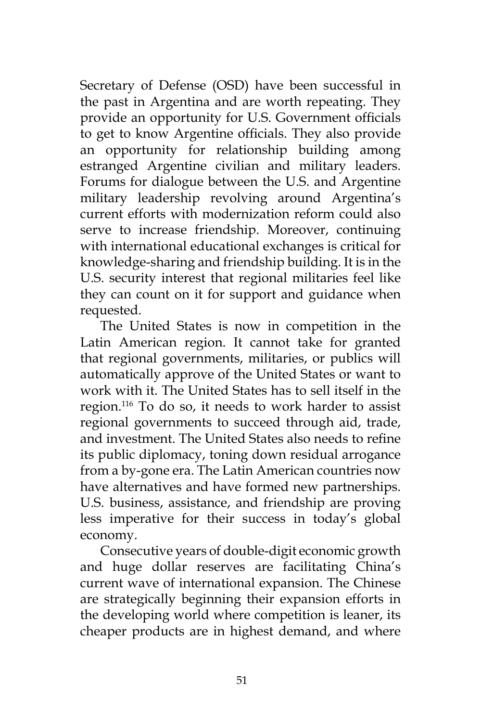Secretary of Defense (OSD) have been successful in the past in Argentina and are worth repeating. They provide an opportunity for U.S. Government officials to get to know Argentine officials. They also provide an opportunity for relationship building among estranged Argentine civilian and military leaders. Forums for dialogue between the U.S. and Argentine military leadership revolving around Argentina's current efforts with modernization reform could also serve to increase friendship. Moreover, continuing with international educational exchanges is critical for knowledge-sharing and friendship building. It is in the U.S. security interest that regional militaries feel like they can count on it for support and guidance when requested.

The United States is now in competition in the Latin American region. It cannot take for granted that regional governments, militaries, or publics will automatically approve of the United States or want to work with it. The United States has to sell itself in the region.116 To do so, it needs to work harder to assist regional governments to succeed through aid, trade, and investment. The United States also needs to refine its public diplomacy, toning down residual arrogance from a by-gone era. The Latin American countries now have alternatives and have formed new partnerships. U.S. business, assistance, and friendship are proving less imperative for their success in today's global economy.

Consecutive years of double-digit economic growth and huge dollar reserves are facilitating China's current wave of international expansion. The Chinese are strategically beginning their expansion efforts in the developing world where competition is leaner, its cheaper products are in highest demand, and where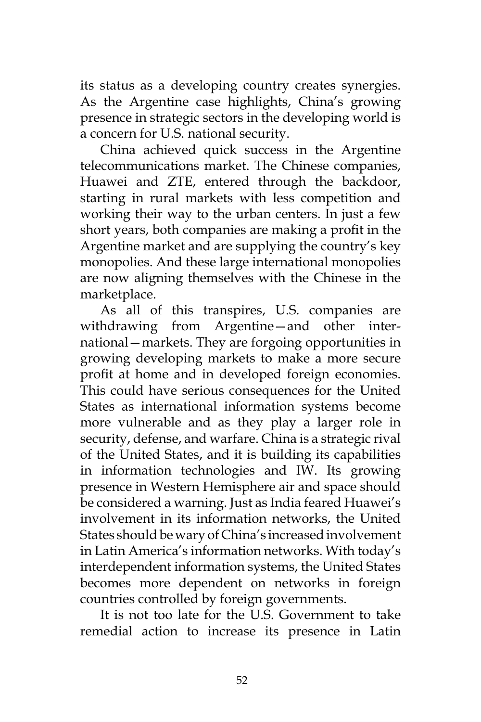its status as a developing country creates synergies. As the Argentine case highlights, China's growing presence in strategic sectors in the developing world is a concern for U.S. national security.

China achieved quick success in the Argentine telecommunications market. The Chinese companies, Huawei and ZTE, entered through the backdoor, starting in rural markets with less competition and working their way to the urban centers. In just a few short years, both companies are making a profit in the Argentine market and are supplying the country's key monopolies. And these large international monopolies are now aligning themselves with the Chinese in the marketplace.

As all of this transpires, U.S. companies are withdrawing from Argentine—and other international—markets. They are forgoing opportunities in growing developing markets to make a more secure profit at home and in developed foreign economies. This could have serious consequences for the United States as international information systems become more vulnerable and as they play a larger role in security, defense, and warfare. China is a strategic rival of the United States, and it is building its capabilities in information technologies and IW. Its growing presence in Western Hemisphere air and space should be considered a warning. Just as India feared Huawei's involvement in its information networks, the United States should be wary of China's increased involvement in Latin America's information networks. With today's interdependent information systems, the United States becomes more dependent on networks in foreign countries controlled by foreign governments.

It is not too late for the U.S. Government to take remedial action to increase its presence in Latin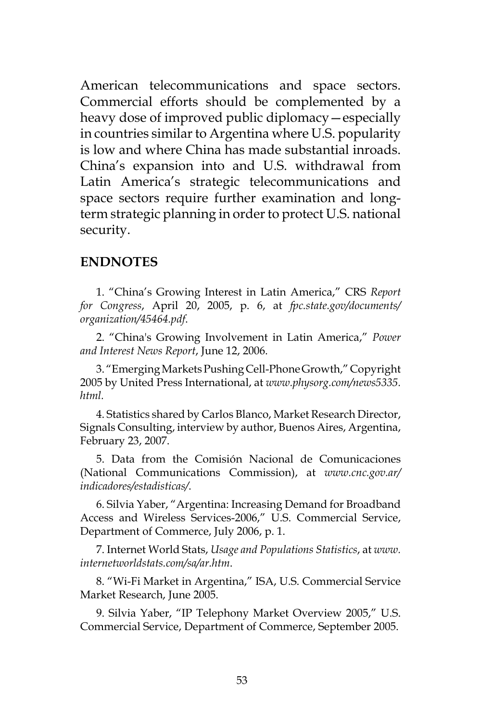American telecommunications and space sectors. Commercial efforts should be complemented by a heavy dose of improved public diplomacy—especially in countries similar to Argentina where U.S. popularity is low and where China has made substantial inroads. China's expansion into and U.S. withdrawal from Latin America's strategic telecommunications and space sectors require further examination and longterm strategic planning in order to protect U.S. national security.

#### **ENDNOTES**

1. "China's Growing Interest in Latin America," CRS *Report for Congress*, April 20, 2005, p. 6, at *fpc.state.gov/documents/ organization/45464.pdf*.

2. "China's Growing Involvement in Latin America," *Power and Interest News Report*, June 12, 2006.

3. "Emerging Markets Pushing Cell-Phone Growth," Copyright 2005 by United Press International, at *www.physorg.com/news5335. html.*

4. Statistics shared by Carlos Blanco, Market Research Director, Signals Consulting, interview by author, Buenos Aires, Argentina, February 23, 2007.

5. Data from the Comisión Nacional de Comunicaciones (National Communications Commission), at *www.cnc.gov.ar/ indicadores/estadisticas/*.

6. Silvia Yaber, "Argentina: Increasing Demand for Broadband Access and Wireless Services-2006," U.S. Commercial Service, Department of Commerce, July 2006, p. 1.

7. Internet World Stats, *Usage and Populations Statistics*, at *www. internetworldstats.com/sa/ar.htm*.

8. "Wi-Fi Market in Argentina," ISA, U.S. Commercial Service Market Research, June 2005.

9. Silvia Yaber, "IP Telephony Market Overview 2005," U.S. Commercial Service, Department of Commerce, September 2005.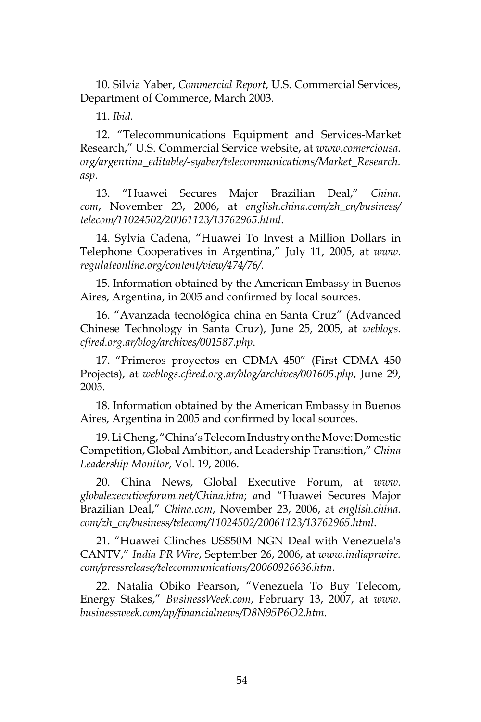10. Silvia Yaber, *Commercial Report*, U.S. Commercial Services, Department of Commerce, March 2003.

11. *Ibid.*

12. "Telecommunications Equipment and Services-Market Research," U.S. Commercial Service website, at *www.comerciousa. org/argentina\_editable/-syaber/telecommunications/Market\_Research. asp*.

13. "Huawei Secures Major Brazilian Deal," *China. com*, November 23, 2006, at *english.china.com/zh\_cn/business/ telecom/11024502/20061123/13762965.html*.

14. Sylvia Cadena, "Huawei To Invest a Million Dollars in Telephone Cooperatives in Argentina," July 11, 2005, at *www. regulateonline.org/content/view/474/76/*.

15. Information obtained by the American Embassy in Buenos Aires, Argentina, in 2005 and confirmed by local sources.

16. "Avanzada tecnológica china en Santa Cruz" (Advanced Chinese Technology in Santa Cruz), June 25, 2005, at *weblogs. cfired.org.ar/blog/archives/001587.php*.

17. "Primeros proyectos en CDMA 450" (First CDMA 450 Projects), at *weblogs.cfired.org.ar/blog/archives/001605*.*php*, June 29, 2005.

18. Information obtained by the American Embassy in Buenos Aires, Argentina in 2005 and confirmed by local sources.

19. Li Cheng, "China's Telecom Industry on the Move: Domestic Competition, Global Ambition, and Leadership Transition," *China Leadership Monitor*, Vol. 19, 2006.

20. China News, Global Executive Forum, at *www. globalexecutiveforum.net/China.htm*; *a*nd "Huawei Secures Major Brazilian Deal," *China.com*, November 23, 2006, at *english.china. com/zh\_cn/business/telecom/11024502/20061123/13762965.html*.

21. "Huawei Clinches US\$50M NGN Deal with Venezuela's CANTV," *India PR Wire*, September 26, 2006, at *www.indiaprwire. com/pressrelease/telecommunications/20060926636.htm*.

22. Natalia Obiko Pearson, "Venezuela To Buy Telecom, Energy Stakes," *BusinessWeek.com*, February 13, 2007, at *www. businessweek.com/ap/financialnews/D8N95P6O2.htm*.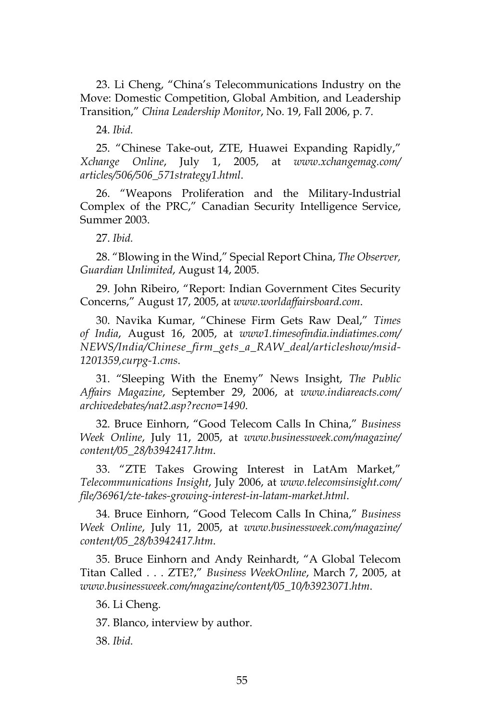23. Li Cheng, "China's Telecommunications Industry on the Move: Domestic Competition, Global Ambition, and Leadership Transition," *China Leadership Monitor*, No. 19, Fall 2006, p. 7.

24. *Ibid.*

25. "Chinese Take-out, ZTE, Huawei Expanding Rapidly," *Xchange Online*, July 1, 2005, at *www.xchangemag.com/ articles/506/506\_571strategy1.html*.

26. "Weapons Proliferation and the Military-Industrial Complex of the PRC," Canadian Security Intelligence Service, Summer 2003.

27. *Ibid.*

28. "Blowing in the Wind," Special Report China, *The Observer, Guardian Unlimited*, August 14, 2005.

29. John Ribeiro, "Report: Indian Government Cites Security Concerns," August 17, 2005, at *www.worldaffairsboard.com*.

30. Navika Kumar, "Chinese Firm Gets Raw Deal," *Times of India*, August 16, 2005, at *www1.timesofindia.indiatimes.com/ NEWS/India/Chinese\_firm\_gets\_a\_RAW\_deal/articleshow/msid-1201359,curpg-1.cms*.

31. "Sleeping With the Enemy" News Insight, *The Public Affairs Magazine*, September 29, 2006, at *www.indiareacts.com/ archivedebates/nat2.asp?recno=1490*.

32. Bruce Einhorn, "Good Telecom Calls In China," *Business Week Online*, July 11, 2005, at *www.businessweek.com/magazine/ content/05\_28/b3942417.htm*.

33. "ZTE Takes Growing Interest in LatAm Market," *Telecommunications Insight*, July 2006, at *www.telecomsinsight.com/ file/36961/zte-takes-growing-interest-in-latam-market.html*.

34. Bruce Einhorn, "Good Telecom Calls In China," *Business Week Online*, July 11, 2005, at *www.businessweek.com/magazine/ content/05\_28/b3942417.htm*.

35. Bruce Einhorn and Andy Reinhardt, "A Global Telecom Titan Called . . . ZTE?," *Business WeekOnline*, March 7, 2005, at *www.businessweek.com/magazine/content/05\_10/b3923071.htm*.

36. Li Cheng.

37. Blanco, interview by author.

38. *Ibid.*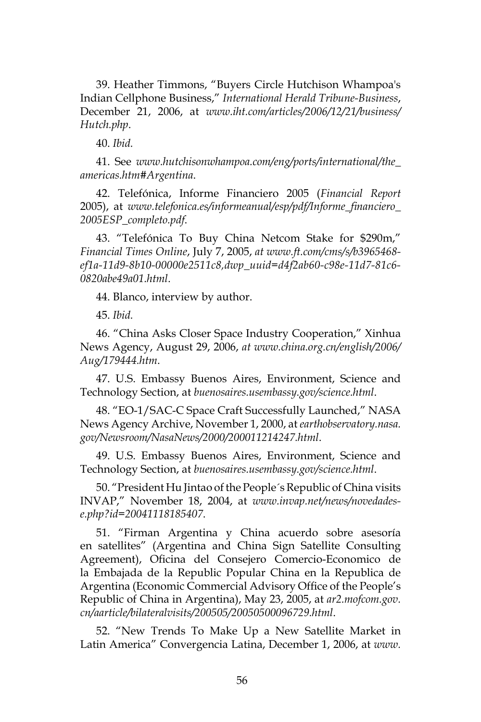39. Heather Timmons, "Buyers Circle Hutchison Whampoa's Indian Cellphone Business," *International Herald Tribune-Business*, December 21, 2006, at *www.iht.com/articles/2006/12/21/business/ Hutch.php*.

40. *Ibid.*

41. See *www.hutchisonwhampoa.com/eng/ports/international/the\_ americas.htm#Argentina*.

42. Telefónica, Informe Financiero 2005 (*Financial Report* 2005), at *www.telefonica.es/informeanual/esp/pdf/Informe\_financiero\_ 2005ESP\_completo.pdf*.

43. "Telefónica To Buy China Netcom Stake for \$290m," *Financial Times Online*, July 7, 2005, *at www.ft.com/cms/s/b3965468 ef1a-11d9-8b10-00000e2511c8,dwp\_uuid=d4f2ab60-c98e-11d7-81c6- 0820abe49a01.html*.

44. Blanco, interview by author.

45. *Ibid.*

46. "China Asks Closer Space Industry Cooperation," Xinhua News Agency, August 29, 2006, *at www.china.org.cn/english/2006/ Aug/179444.htm*.

47. U.S. Embassy Buenos Aires, Environment, Science and Technology Section, at *buenosaires.usembassy.gov/science.html*.

48. "EO-1/SAC-C Space Craft Successfully Launched," NASA News Agency Archive, November 1, 2000, at *earthobservatory.nasa. gov/Newsroom/NasaNews/2000/200011214247.html*.

49. U.S. Embassy Buenos Aires, Environment, Science and Technology Section, at *buenosaires.usembassy.gov/science.html*.

50. "President Hu Jintao of the People´s Republic of China visits INVAP," November 18, 2004, at *www.invap.net/news/novedadese.php?id=20041118185407*.

51. "Firman Argentina y China acuerdo sobre asesoría en satellites" (Argentina and China Sign Satellite Consulting Agreement), Oficina del Consejero Comercio-Economico de la Embajada de la Republic Popular China en la Republica de Argentina (Economic Commercial Advisory Office of the People's Republic of China in Argentina), May 23, 2005, at *ar2.mofcom.gov. cn/aarticle/bilateralvisits/200505/20050500096729.html*.

52. "New Trends To Make Up a New Satellite Market in Latin America" Convergencia Latina, December 1, 2006, at *www.*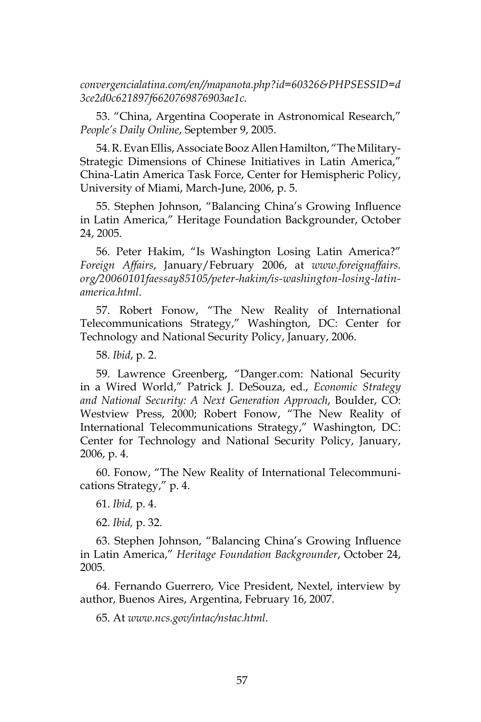*convergencialatina.com/en//mapanota.php?id=60326&PHPSESSID=d 3ce2d0c621897f6620769876903ae1c*.

53. "China, Argentina Cooperate in Astronomical Research," *People's Daily Online*, September 9, 2005.

54. R. Evan Ellis, Associate Booz Allen Hamilton, "The Military-Strategic Dimensions of Chinese Initiatives in Latin America," China-Latin America Task Force, Center for Hemispheric Policy, University of Miami, March-June, 2006, p. 5.

55. Stephen Johnson, "Balancing China's Growing Influence in Latin America," Heritage Foundation Backgrounder, October 24, 2005.

56. Peter Hakim, "Is Washington Losing Latin America?" *Foreign Affairs*, January/February 2006, at *www.foreignaffairs. org/20060101faessay85105/peter-hakim/is-washington-losing-latinamerica.html*.

57. Robert Fonow, "The New Reality of International Telecommunications Strategy," Washington, DC: Center for Technology and National Security Policy, January, 2006.

58. *Ibid*, p. 2.

59. Lawrence Greenberg, "Danger.com: National Security in a Wired World," Patrick J. DeSouza, ed., *Economic Strategy and National Security: A Next Generation Approach*, Boulder, CO: Westview Press, 2000; Robert Fonow, "The New Reality of International Telecommunications Strategy," Washington, DC: Center for Technology and National Security Policy, January, 2006, p. 4.

60. Fonow, "The New Reality of International Telecommunications Strategy," p. 4.

61. *Ibid,* p. 4.

62. *Ibid,* p. 32.

63. Stephen Johnson, "Balancing China's Growing Influence in Latin America," *Heritage Foundation Backgrounder*, October 24, 2005.

64. Fernando Guerrero, Vice President, Nextel, interview by author, Buenos Aires, Argentina, February 16, 2007.

65. At *www.ncs.gov/intac/nstac.html*.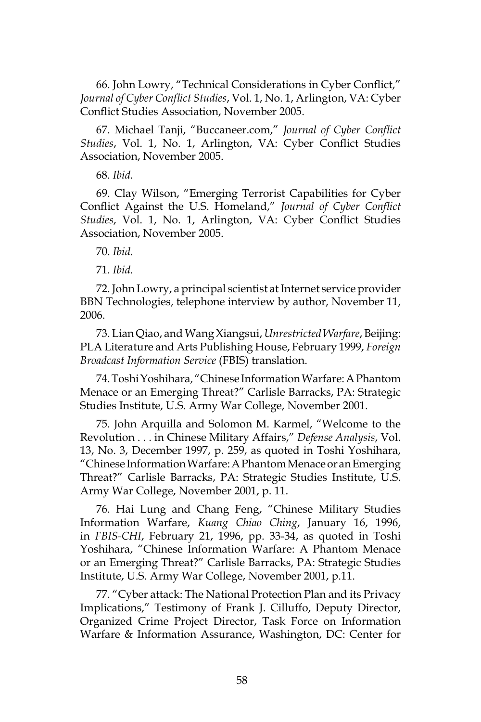66. John Lowry, "Technical Considerations in Cyber Conflict," *Journal of Cyber Conflict Studies*, Vol. 1, No. 1, Arlington, VA: Cyber Conflict Studies Association, November 2005.

67. Michael Tanji, "Buccaneer.com," *Journal of Cyber Conflict Studies*, Vol. 1, No. 1, Arlington, VA: Cyber Conflict Studies Association, November 2005.

68. *Ibid.*

69. Clay Wilson, "Emerging Terrorist Capabilities for Cyber Conflict Against the U.S. Homeland," *Journal of Cyber Conflict Studies*, Vol. 1, No. 1, Arlington, VA: Cyber Conflict Studies Association, November 2005.

70. *Ibid.*

71. *Ibid.*

72. John Lowry, a principal scientist at Internet service provider BBN Technologies, telephone interview by author, November 11, 2006.

73. Lian Qiao, and Wang Xiangsui, *Unrestricted Warfare*, Beijing: PLA Literature and Arts Publishing House, February 1999, *Foreign Broadcast Information Service* (FBIS) translation.

74. Toshi Yoshihara, "Chinese Information Warfare: A Phantom Menace or an Emerging Threat?" Carlisle Barracks, PA: Strategic Studies Institute, U.S. Army War College, November 2001.

75. John Arquilla and Solomon M. Karmel, "Welcome to the Revolution . . . in Chinese Military Affairs," *Defense Analysis*, Vol. 13, No. 3, December 1997, p. 259, as quoted in Toshi Yoshihara, "Chinese Information Warfare: A Phantom Menace or an Emerging Threat?" Carlisle Barracks, PA: Strategic Studies Institute, U.S. Army War College, November 2001, p. 11.

76. Hai Lung and Chang Feng, "Chinese Military Studies Information Warfare, *Kuang Chiao Ching*, January 16, 1996, in *FBIS-CHI*, February 21, 1996, pp. 33-34, as quoted in Toshi Yoshihara, "Chinese Information Warfare: A Phantom Menace or an Emerging Threat?" Carlisle Barracks, PA: Strategic Studies Institute, U.S. Army War College, November 2001, p.11.

77. "Cyber attack: The National Protection Plan and its Privacy Implications," Testimony of Frank J. Cilluffo, Deputy Director, Organized Crime Project Director, Task Force on Information Warfare & Information Assurance, Washington, DC: Center for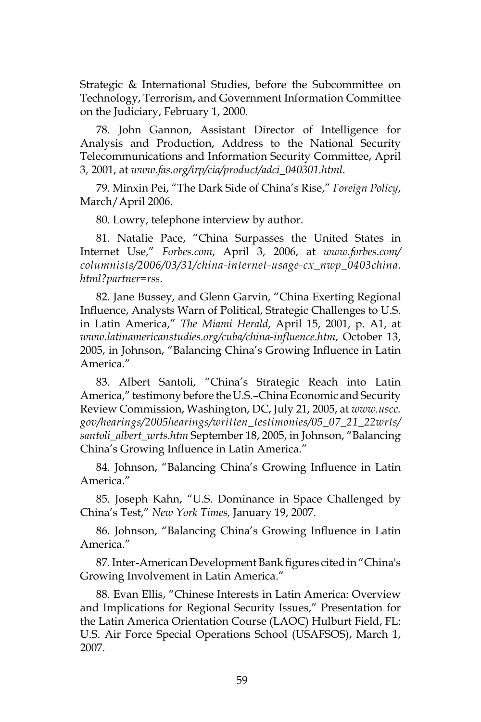Strategic & International Studies, before the Subcommittee on Technology, Terrorism, and Government Information Committee on the Judiciary, February 1, 2000.

78. John Gannon, Assistant Director of Intelligence for Analysis and Production, Address to the National Security Telecommunications and Information Security Committee, April 3, 2001, at *www.fas.org/irp/cia/product/adci\_040301.html*.

79. Minxin Pei, "The Dark Side of China's Rise," *Foreign Policy*, March/April 2006.

80. Lowry, telephone interview by author.

81. Natalie Pace, "China Surpasses the United States in Internet Use," *Forbes.com*, April 3, 2006, at *www.forbes.com/ columnists/2006/03/31/china-internet-usage-cx\_nwp\_0403china. html?partner=rss*.

82. Jane Bussey, and Glenn Garvin, "China Exerting Regional Influence, Analysts Warn of Political, Strategic Challenges to U.S. in Latin America," *The Miami Herald*, April 15, 2001, p. A1, at *www.latinamericanstudies.org/cuba/china-influence.htm*, October 13, 2005, in Johnson, "Balancing China's Growing Influence in Latin America."

83. Albert Santoli, "China's Strategic Reach into Latin America," testimony before the U.S.–China Economic and Security Review Commission, Washington, DC, July 21, 2005, at *www.uscc. gov/hearings/2005hearings/written\_testimonies/05\_07\_21\_22wrts/ santoli\_albert\_wrts.htm* September 18, 2005, in Johnson, "Balancing China's Growing Influence in Latin America."

84. Johnson, "Balancing China's Growing Influence in Latin America."

85. Joseph Kahn, "U.S. Dominance in Space Challenged by China's Test," *New York Times,* January 19, 2007.

86. Johnson, "Balancing China's Growing Influence in Latin America."

87. Inter-American Development Bank figures cited in "China's Growing Involvement in Latin America."

88. Evan Ellis, "Chinese Interests in Latin America: Overview and Implications for Regional Security Issues," Presentation for the Latin America Orientation Course (LAOC) Hulburt Field, FL: U.S. Air Force Special Operations School (USAFSOS), March 1, 2007.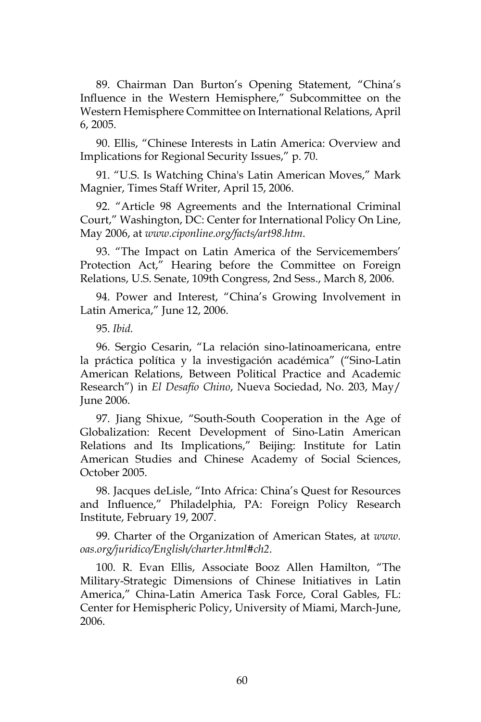89. Chairman Dan Burton's Opening Statement, "China's Influence in the Western Hemisphere," Subcommittee on the Western Hemisphere Committee on International Relations, April 6, 2005.

90. Ellis, "Chinese Interests in Latin America: Overview and Implications for Regional Security Issues," p. 70.

91. "U.S. Is Watching China's Latin American Moves," Mark Magnier, Times Staff Writer, April 15, 2006.

92. "Article 98 Agreements and the International Criminal Court," Washington, DC: Center for International Policy On Line, May 2006, at *www.ciponline.org/facts/art98.htm*.

93. "The Impact on Latin America of the Servicemembers' Protection Act," Hearing before the Committee on Foreign Relations, U.S. Senate, 109th Congress, 2nd Sess., March 8, 2006.

94. Power and Interest, "China's Growing Involvement in Latin America," June 12, 2006.

95. *Ibid.*

96. Sergio Cesarin, "La relación sino-latinoamericana, entre la práctica política y la investigación académica" ("Sino-Latin American Relations, Between Political Practice and Academic Research") in *El Desafío Chino*, Nueva Sociedad, No. 203, May/ June 2006.

97. Jiang Shixue, "South-South Cooperation in the Age of Globalization: Recent Development of Sino-Latin American Relations and Its Implications," Beijing: Institute for Latin American Studies and Chinese Academy of Social Sciences, October 2005.

98. Jacques deLisle, "Into Africa: China's Quest for Resources and Influence," Philadelphia, PA: Foreign Policy Research Institute, February 19, 2007.

99. Charter of the Organization of American States, at *www. oas.org/juridico/English/charter.html#ch2*.

100. R. Evan Ellis, Associate Booz Allen Hamilton, "The Military-Strategic Dimensions of Chinese Initiatives in Latin America," China-Latin America Task Force, Coral Gables, FL: Center for Hemispheric Policy, University of Miami, March-June, 2006.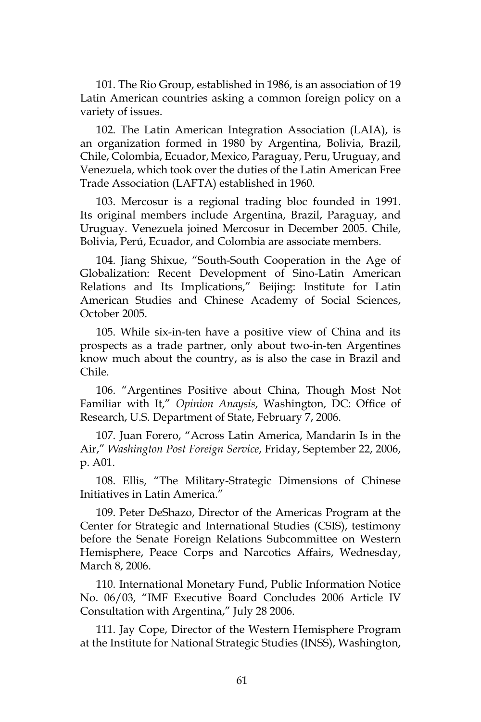101. The Rio Group, established in 1986, is an association of 19 Latin American countries asking a common foreign policy on a variety of issues.

102. The Latin American Integration Association (LAIA), is an organization formed in 1980 by Argentina, Bolivia, Brazil, Chile, Colombia, Ecuador, Mexico, Paraguay, Peru, Uruguay, and Venezuela, which took over the duties of the Latin American Free Trade Association (LAFTA) established in 1960.

103. Mercosur is a regional trading bloc founded in 1991. Its original members include Argentina, Brazil, Paraguay, and Uruguay. Venezuela joined Mercosur in December 2005. Chile, Bolivia, Perú, Ecuador, and Colombia are associate members.

104. Jiang Shixue, "South-South Cooperation in the Age of Globalization: Recent Development of Sino-Latin American Relations and Its Implications," Beijing: Institute for Latin American Studies and Chinese Academy of Social Sciences, October 2005.

105. While six-in-ten have a positive view of China and its prospects as a trade partner, only about two-in-ten Argentines know much about the country, as is also the case in Brazil and Chile.

106. "Argentines Positive about China, Though Most Not Familiar with It," *Opinion Anaysis*, Washington, DC: Office of Research, U.S. Department of State, February 7, 2006.

107. Juan Forero, "Across Latin America, Mandarin Is in the Air," *Washington Post Foreign Service*, Friday, September 22, 2006, p. A01.

108. Ellis, "The Military-Strategic Dimensions of Chinese Initiatives in Latin America."

109. Peter DeShazo, Director of the Americas Program at the Center for Strategic and International Studies (CSIS), testimony before the Senate Foreign Relations Subcommittee on Western Hemisphere, Peace Corps and Narcotics Affairs, Wednesday, March 8, 2006.

110. International Monetary Fund, Public Information Notice No. 06/03, "IMF Executive Board Concludes 2006 Article IV Consultation with Argentina," July 28 2006.

111. Jay Cope, Director of the Western Hemisphere Program at the Institute for National Strategic Studies (INSS), Washington,